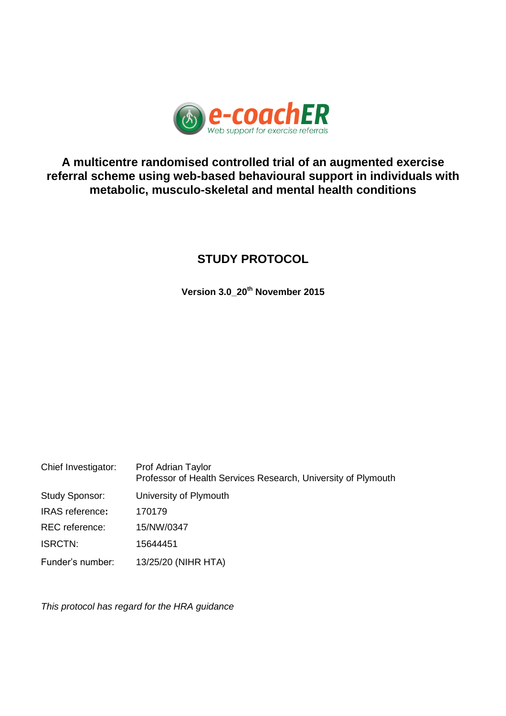

# **A multicentre randomised controlled trial of an augmented exercise referral scheme using web-based behavioural support in individuals with metabolic, musculo-skeletal and mental health conditions**

# **STUDY PROTOCOL**

**Version 3.0\_20th November 2015**

| Chief Investigator:    | Prof Adrian Taylor<br>Professor of Health Services Research, University of Plymouth |
|------------------------|-------------------------------------------------------------------------------------|
| Study Sponsor:         | University of Plymouth                                                              |
| <b>IRAS</b> reference: | 170179                                                                              |
| <b>REC</b> reference:  | 15/NW/0347                                                                          |
| <b>ISRCTN:</b>         | 15644451                                                                            |
| Funder's number:       | 13/25/20 (NIHR HTA)                                                                 |

*This protocol has regard for the HRA guidance*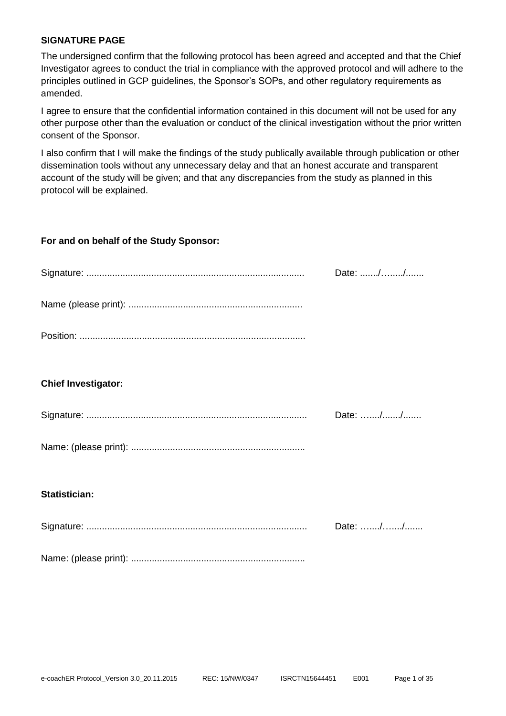#### <span id="page-1-0"></span>**SIGNATURE PAGE**

The undersigned confirm that the following protocol has been agreed and accepted and that the Chief Investigator agrees to conduct the trial in compliance with the approved protocol and will adhere to the principles outlined in GCP guidelines, the Sponsor's SOPs, and other regulatory requirements as amended.

I agree to ensure that the confidential information contained in this document will not be used for any other purpose other than the evaluation or conduct of the clinical investigation without the prior written consent of the Sponsor.

I also confirm that I will make the findings of the study publically available through publication or other dissemination tools without any unnecessary delay and that an honest accurate and transparent account of the study will be given; and that any discrepancies from the study as planned in this protocol will be explained.

#### **For and on behalf of the Study Sponsor:**

|                            | Date: // |
|----------------------------|----------|
|                            |          |
|                            |          |
|                            |          |
| <b>Chief Investigator:</b> |          |
|                            | Date: // |
|                            |          |
|                            |          |
| <b>Statistician:</b>       |          |
|                            | Date: // |
|                            |          |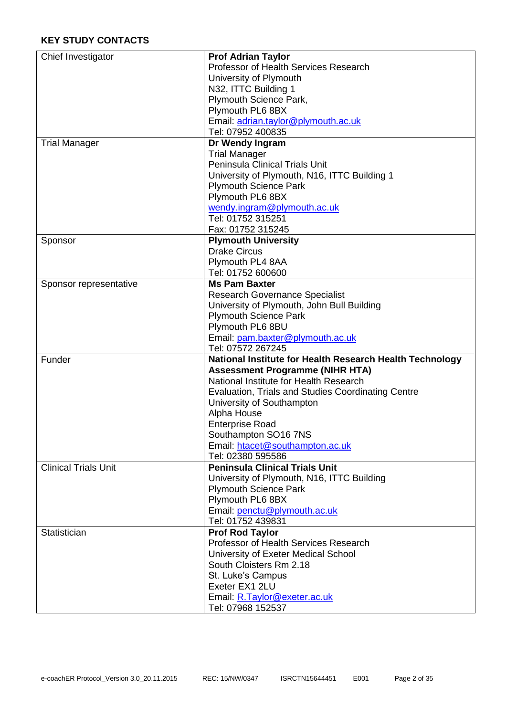<span id="page-2-0"></span>

| Chief Investigator          | <b>Prof Adrian Taylor</b>                                                        |
|-----------------------------|----------------------------------------------------------------------------------|
|                             | Professor of Health Services Research                                            |
|                             | University of Plymouth                                                           |
|                             | N32, ITTC Building 1                                                             |
|                             | Plymouth Science Park,                                                           |
|                             | Plymouth PL6 8BX                                                                 |
|                             | Email: adrian.taylor@plymouth.ac.uk                                              |
|                             | Tel: 07952 400835                                                                |
| <b>Trial Manager</b>        | Dr Wendy Ingram                                                                  |
|                             | <b>Trial Manager</b>                                                             |
|                             | <b>Peninsula Clinical Trials Unit</b>                                            |
|                             | University of Plymouth, N16, ITTC Building 1                                     |
|                             | <b>Plymouth Science Park</b>                                                     |
|                             | Plymouth PL6 8BX                                                                 |
|                             | wendy.ingram@plymouth.ac.uk                                                      |
|                             | Tel: 01752 315251                                                                |
|                             | Fax: 01752 315245                                                                |
| Sponsor                     | <b>Plymouth University</b>                                                       |
|                             | <b>Drake Circus</b>                                                              |
|                             | Plymouth PL4 8AA                                                                 |
|                             | Tel: 01752 600600                                                                |
| Sponsor representative      | <b>Ms Pam Baxter</b>                                                             |
|                             | <b>Research Governance Specialist</b>                                            |
|                             | University of Plymouth, John Bull Building                                       |
|                             |                                                                                  |
|                             | <b>Plymouth Science Park</b><br>Plymouth PL6 8BU                                 |
|                             |                                                                                  |
|                             | Email: pam.baxter@plymouth.ac.uk<br>Tel: 07572 267245                            |
| Funder                      |                                                                                  |
|                             | National Institute for Health Research Health Technology                         |
|                             | <b>Assessment Programme (NIHR HTA)</b><br>National Institute for Health Research |
|                             |                                                                                  |
|                             | Evaluation, Trials and Studies Coordinating Centre                               |
|                             | University of Southampton                                                        |
|                             | Alpha House                                                                      |
|                             | <b>Enterprise Road</b>                                                           |
|                             | Southampton SO16 7NS                                                             |
|                             | Email: htacet@southampton.ac.uk                                                  |
|                             | Tel: 02380 595586<br><b>Peninsula Clinical Trials Unit</b>                       |
| <b>Clinical Trials Unit</b> |                                                                                  |
|                             | University of Plymouth, N16, ITTC Building                                       |
|                             | <b>Plymouth Science Park</b>                                                     |
|                             | Plymouth PL6 8BX                                                                 |
|                             | Email: penctu@plymouth.ac.uk                                                     |
|                             | Tel: 01752 439831                                                                |
| Statistician                | <b>Prof Rod Taylor</b>                                                           |
|                             | Professor of Health Services Research                                            |
|                             | University of Exeter Medical School                                              |
|                             | South Cloisters Rm 2.18                                                          |
|                             | St. Luke's Campus                                                                |
|                             | Exeter EX1 2LU                                                                   |
|                             |                                                                                  |
|                             | Email: R.Taylor@exeter.ac.uk<br>Tel: 07968 152537                                |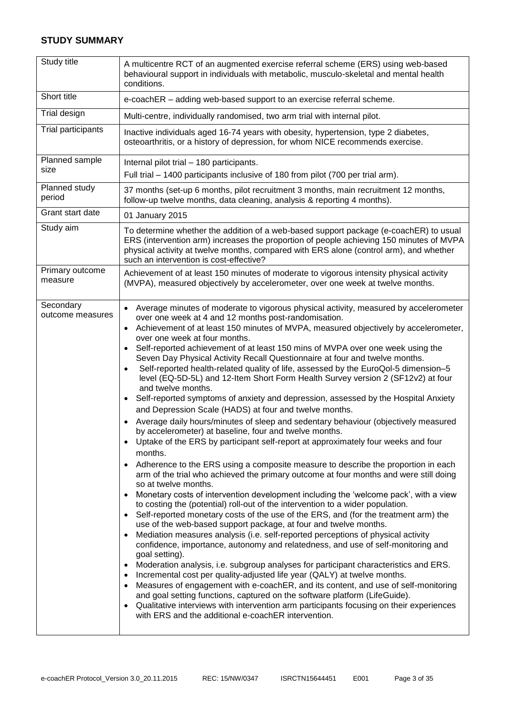#### **STUDY SUMMARY**

| Study title                   | A multicentre RCT of an augmented exercise referral scheme (ERS) using web-based<br>behavioural support in individuals with metabolic, musculo-skeletal and mental health<br>conditions.                                                                                                                                                                                                                                                                                                                                                                                                                                                                                                                                                                                                                                                                                                                                                                                                                                                                                                                                                                                                                                                                                                                                                                                                                                                                                                                                                                                                                                                                                                                                                                                                                                                                                                                                                                                                                                                                                                                                                                                                                                                                                                                                                                                                                                                       |
|-------------------------------|------------------------------------------------------------------------------------------------------------------------------------------------------------------------------------------------------------------------------------------------------------------------------------------------------------------------------------------------------------------------------------------------------------------------------------------------------------------------------------------------------------------------------------------------------------------------------------------------------------------------------------------------------------------------------------------------------------------------------------------------------------------------------------------------------------------------------------------------------------------------------------------------------------------------------------------------------------------------------------------------------------------------------------------------------------------------------------------------------------------------------------------------------------------------------------------------------------------------------------------------------------------------------------------------------------------------------------------------------------------------------------------------------------------------------------------------------------------------------------------------------------------------------------------------------------------------------------------------------------------------------------------------------------------------------------------------------------------------------------------------------------------------------------------------------------------------------------------------------------------------------------------------------------------------------------------------------------------------------------------------------------------------------------------------------------------------------------------------------------------------------------------------------------------------------------------------------------------------------------------------------------------------------------------------------------------------------------------------------------------------------------------------------------------------------------------------|
| Short title                   | e-coachER - adding web-based support to an exercise referral scheme.                                                                                                                                                                                                                                                                                                                                                                                                                                                                                                                                                                                                                                                                                                                                                                                                                                                                                                                                                                                                                                                                                                                                                                                                                                                                                                                                                                                                                                                                                                                                                                                                                                                                                                                                                                                                                                                                                                                                                                                                                                                                                                                                                                                                                                                                                                                                                                           |
| Trial design                  | Multi-centre, individually randomised, two arm trial with internal pilot.                                                                                                                                                                                                                                                                                                                                                                                                                                                                                                                                                                                                                                                                                                                                                                                                                                                                                                                                                                                                                                                                                                                                                                                                                                                                                                                                                                                                                                                                                                                                                                                                                                                                                                                                                                                                                                                                                                                                                                                                                                                                                                                                                                                                                                                                                                                                                                      |
| <b>Trial participants</b>     | Inactive individuals aged 16-74 years with obesity, hypertension, type 2 diabetes,<br>osteoarthritis, or a history of depression, for whom NICE recommends exercise.                                                                                                                                                                                                                                                                                                                                                                                                                                                                                                                                                                                                                                                                                                                                                                                                                                                                                                                                                                                                                                                                                                                                                                                                                                                                                                                                                                                                                                                                                                                                                                                                                                                                                                                                                                                                                                                                                                                                                                                                                                                                                                                                                                                                                                                                           |
| Planned sample<br>size        | Internal pilot trial - 180 participants.<br>Full trial – 1400 participants inclusive of 180 from pilot (700 per trial arm).                                                                                                                                                                                                                                                                                                                                                                                                                                                                                                                                                                                                                                                                                                                                                                                                                                                                                                                                                                                                                                                                                                                                                                                                                                                                                                                                                                                                                                                                                                                                                                                                                                                                                                                                                                                                                                                                                                                                                                                                                                                                                                                                                                                                                                                                                                                    |
| Planned study<br>period       | 37 months (set-up 6 months, pilot recruitment 3 months, main recruitment 12 months,<br>follow-up twelve months, data cleaning, analysis & reporting 4 months).                                                                                                                                                                                                                                                                                                                                                                                                                                                                                                                                                                                                                                                                                                                                                                                                                                                                                                                                                                                                                                                                                                                                                                                                                                                                                                                                                                                                                                                                                                                                                                                                                                                                                                                                                                                                                                                                                                                                                                                                                                                                                                                                                                                                                                                                                 |
| Grant start date              | 01 January 2015                                                                                                                                                                                                                                                                                                                                                                                                                                                                                                                                                                                                                                                                                                                                                                                                                                                                                                                                                                                                                                                                                                                                                                                                                                                                                                                                                                                                                                                                                                                                                                                                                                                                                                                                                                                                                                                                                                                                                                                                                                                                                                                                                                                                                                                                                                                                                                                                                                |
| Study aim                     | To determine whether the addition of a web-based support package (e-coachER) to usual<br>ERS (intervention arm) increases the proportion of people achieving 150 minutes of MVPA<br>physical activity at twelve months, compared with ERS alone (control arm), and whether<br>such an intervention is cost-effective?                                                                                                                                                                                                                                                                                                                                                                                                                                                                                                                                                                                                                                                                                                                                                                                                                                                                                                                                                                                                                                                                                                                                                                                                                                                                                                                                                                                                                                                                                                                                                                                                                                                                                                                                                                                                                                                                                                                                                                                                                                                                                                                          |
| Primary outcome<br>measure    | Achievement of at least 150 minutes of moderate to vigorous intensity physical activity<br>(MVPA), measured objectively by accelerometer, over one week at twelve months.                                                                                                                                                                                                                                                                                                                                                                                                                                                                                                                                                                                                                                                                                                                                                                                                                                                                                                                                                                                                                                                                                                                                                                                                                                                                                                                                                                                                                                                                                                                                                                                                                                                                                                                                                                                                                                                                                                                                                                                                                                                                                                                                                                                                                                                                      |
| Secondary<br>outcome measures | Average minutes of moderate to vigorous physical activity, measured by accelerometer<br>over one week at 4 and 12 months post-randomisation.<br>Achievement of at least 150 minutes of MVPA, measured objectively by accelerometer,<br>$\bullet$<br>over one week at four months.<br>Self-reported achievement of at least 150 mins of MVPA over one week using the<br>$\bullet$<br>Seven Day Physical Activity Recall Questionnaire at four and twelve months.<br>Self-reported health-related quality of life, assessed by the EuroQol-5 dimension-5<br>$\bullet$<br>level (EQ-5D-5L) and 12-Item Short Form Health Survey version 2 (SF12v2) at four<br>and twelve months.<br>Self-reported symptoms of anxiety and depression, assessed by the Hospital Anxiety<br>$\bullet$<br>and Depression Scale (HADS) at four and twelve months.<br>Average daily hours/minutes of sleep and sedentary behaviour (objectively measured<br>by accelerometer) at baseline, four and twelve months.<br>Uptake of the ERS by participant self-report at approximately four weeks and four<br>$\bullet$<br>months.<br>Adherence to the ERS using a composite measure to describe the proportion in each<br>$\bullet$<br>arm of the trial who achieved the primary outcome at four months and were still doing<br>so at twelve months.<br>Monetary costs of intervention development including the 'welcome pack', with a view<br>$\bullet$<br>to costing the (potential) roll-out of the intervention to a wider population.<br>Self-reported monetary costs of the use of the ERS, and (for the treatment arm) the<br>$\bullet$<br>use of the web-based support package, at four and twelve months.<br>Mediation measures analysis (i.e. self-reported perceptions of physical activity<br>$\bullet$<br>confidence, importance, autonomy and relatedness, and use of self-monitoring and<br>goal setting).<br>Moderation analysis, i.e. subgroup analyses for participant characteristics and ERS.<br>$\bullet$<br>Incremental cost per quality-adjusted life year (QALY) at twelve months.<br>$\bullet$<br>Measures of engagement with e-coachER, and its content, and use of self-monitoring<br>$\bullet$<br>and goal setting functions, captured on the software platform (LifeGuide).<br>Qualitative interviews with intervention arm participants focusing on their experiences<br>$\bullet$<br>with ERS and the additional e-coachER intervention. |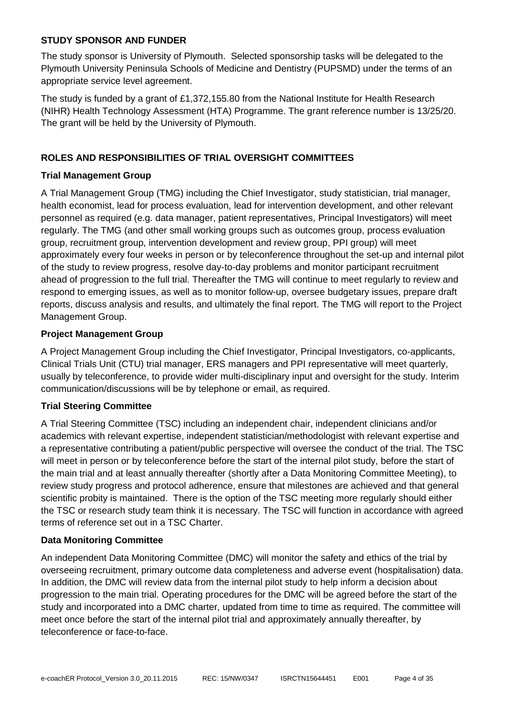#### **STUDY SPONSOR AND FUNDER**

The study sponsor is University of Plymouth. Selected sponsorship tasks will be delegated to the Plymouth University Peninsula Schools of Medicine and Dentistry (PUPSMD) under the terms of an appropriate service level agreement.

The study is funded by a grant of £1,372,155.80 from the National Institute for Health Research (NIHR) Health Technology Assessment (HTA) Programme. The grant reference number is 13/25/20. The grant will be held by the University of Plymouth.

#### <span id="page-4-0"></span>**ROLES AND RESPONSIBILITIES OF TRIAL OVERSIGHT COMMITTEES**

#### **Trial Management Group**

A Trial Management Group (TMG) including the Chief Investigator, study statistician, trial manager, health economist, lead for process evaluation, lead for intervention development, and other relevant personnel as required (e.g. data manager, patient representatives, Principal Investigators) will meet regularly. The TMG (and other small working groups such as outcomes group, process evaluation group, recruitment group, intervention development and review group, PPI group) will meet approximately every four weeks in person or by teleconference throughout the set-up and internal pilot of the study to review progress, resolve day-to-day problems and monitor participant recruitment ahead of progression to the full trial. Thereafter the TMG will continue to meet regularly to review and respond to emerging issues, as well as to monitor follow-up, oversee budgetary issues, prepare draft reports, discuss analysis and results, and ultimately the final report. The TMG will report to the Project Management Group.

#### **Project Management Group**

A Project Management Group including the Chief Investigator, Principal Investigators, co-applicants, Clinical Trials Unit (CTU) trial manager, ERS managers and PPI representative will meet quarterly, usually by teleconference, to provide wider multi-disciplinary input and oversight for the study. Interim communication/discussions will be by telephone or email, as required.

#### **Trial Steering Committee**

A Trial Steering Committee (TSC) including an independent chair, independent clinicians and/or academics with relevant expertise, independent statistician/methodologist with relevant expertise and a representative contributing a patient/public perspective will oversee the conduct of the trial. The TSC will meet in person or by teleconference before the start of the internal pilot study, before the start of the main trial and at least annually thereafter (shortly after a Data Monitoring Committee Meeting), to review study progress and protocol adherence, ensure that milestones are achieved and that general scientific probity is maintained. There is the option of the TSC meeting more regularly should either the TSC or research study team think it is necessary. The TSC will function in accordance with agreed terms of reference set out in a TSC Charter.

#### **Data Monitoring Committee**

An independent Data Monitoring Committee (DMC) will monitor the safety and ethics of the trial by overseeing recruitment, primary outcome data completeness and adverse event (hospitalisation) data. In addition, the DMC will review data from the internal pilot study to help inform a decision about progression to the main trial. Operating procedures for the DMC will be agreed before the start of the study and incorporated into a DMC charter, updated from time to time as required. The committee will meet once before the start of the internal pilot trial and approximately annually thereafter, by teleconference or face-to-face.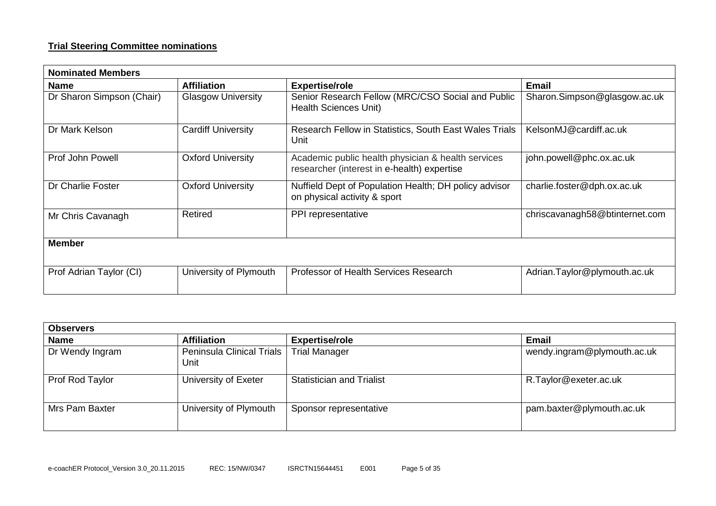#### **Trial Steering Committee nominations**

| <b>Nominated Members</b>  |                           |                                                                                                   |                                |  |  |
|---------------------------|---------------------------|---------------------------------------------------------------------------------------------------|--------------------------------|--|--|
| <b>Name</b>               | <b>Affiliation</b>        | <b>Expertise/role</b>                                                                             | <b>Email</b>                   |  |  |
| Dr Sharon Simpson (Chair) | <b>Glasgow University</b> | Senior Research Fellow (MRC/CSO Social and Public<br><b>Health Sciences Unit)</b>                 | Sharon.Simpson@glasgow.ac.uk   |  |  |
| Dr Mark Kelson            | <b>Cardiff University</b> | Research Fellow in Statistics, South East Wales Trials<br>Unit                                    | KelsonMJ@cardiff.ac.uk         |  |  |
| Prof John Powell          | <b>Oxford University</b>  | Academic public health physician & health services<br>researcher (interest in e-health) expertise | john.powell@phc.ox.ac.uk       |  |  |
| Dr Charlie Foster         | <b>Oxford University</b>  | Nuffield Dept of Population Health; DH policy advisor<br>on physical activity & sport             | charlie.foster@dph.ox.ac.uk    |  |  |
| Mr Chris Cavanagh         | Retired                   | PPI representative                                                                                | chriscavanagh58@btinternet.com |  |  |
| <b>Member</b>             |                           |                                                                                                   |                                |  |  |
| Prof Adrian Taylor (CI)   | University of Plymouth    | Professor of Health Services Research                                                             | Adrian.Taylor@plymouth.ac.uk   |  |  |

| <b>Observers</b> |                                     |                                  |                             |  |
|------------------|-------------------------------------|----------------------------------|-----------------------------|--|
| <b>Name</b>      | <b>Affiliation</b>                  | <b>Expertise/role</b>            | Email                       |  |
| Dr Wendy Ingram  | Peninsula Clinical Trials  <br>Unit | <b>Trial Manager</b>             | wendy.ingram@plymouth.ac.uk |  |
| Prof Rod Taylor  | University of Exeter                | <b>Statistician and Trialist</b> | R.Taylor@exeter.ac.uk       |  |
| Mrs Pam Baxter   | University of Plymouth              | Sponsor representative           | pam.baxter@plymouth.ac.uk   |  |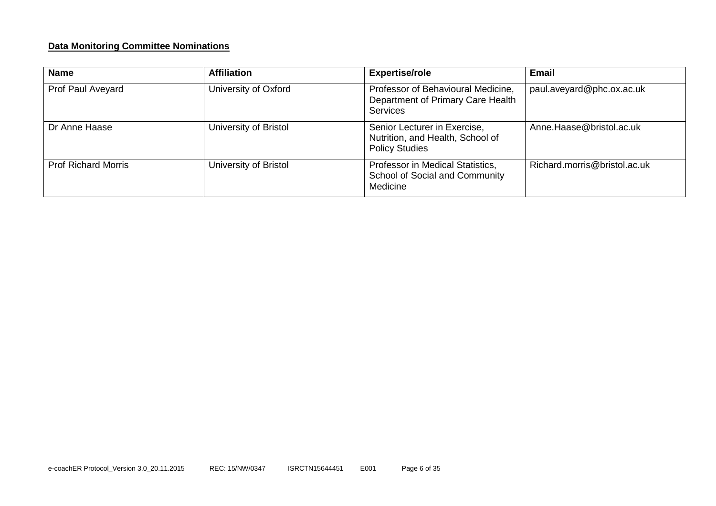#### **Data Monitoring Committee Nominations**

| <b>Name</b>                | <b>Affiliation</b>    | <b>Expertise/role</b>                                                                      | Email                        |
|----------------------------|-----------------------|--------------------------------------------------------------------------------------------|------------------------------|
| Prof Paul Aveyard          | University of Oxford  | Professor of Behavioural Medicine,<br>Department of Primary Care Health<br><b>Services</b> | paul.aveyard@phc.ox.ac.uk    |
| Dr Anne Haase              | University of Bristol | Senior Lecturer in Exercise,<br>Nutrition, and Health, School of<br><b>Policy Studies</b>  | Anne.Haase@bristol.ac.uk     |
| <b>Prof Richard Morris</b> | University of Bristol | Professor in Medical Statistics,<br>School of Social and Community<br>Medicine             | Richard.morris@bristol.ac.uk |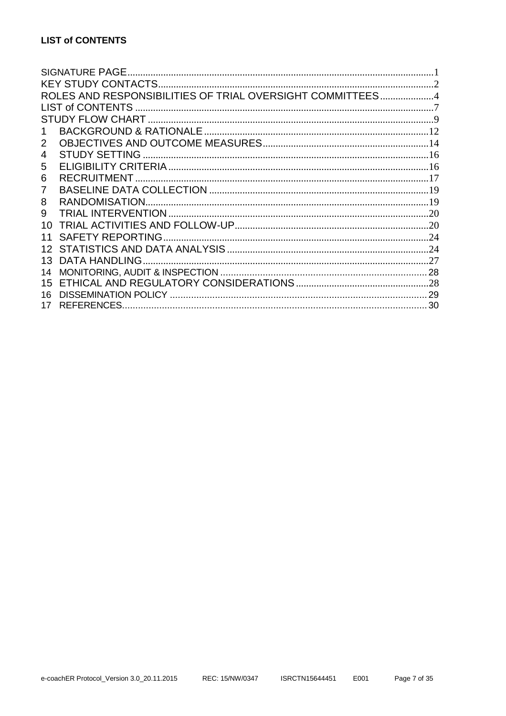<span id="page-7-0"></span>

|    | ROLES AND RESPONSIBILITIES OF TRIAL OVERSIGHT COMMITTEES4 |  |
|----|-----------------------------------------------------------|--|
|    |                                                           |  |
|    |                                                           |  |
|    |                                                           |  |
| 2  |                                                           |  |
| 4  |                                                           |  |
| 5  |                                                           |  |
| 6  | <b>RECRUITMENT.</b>                                       |  |
| 7  |                                                           |  |
| 8  |                                                           |  |
| 9  |                                                           |  |
| 10 |                                                           |  |
| 11 | <b>SAFETY REPORTING</b>                                   |  |
|    |                                                           |  |
| 13 |                                                           |  |
| 14 |                                                           |  |
| 15 |                                                           |  |
| 16 |                                                           |  |
|    |                                                           |  |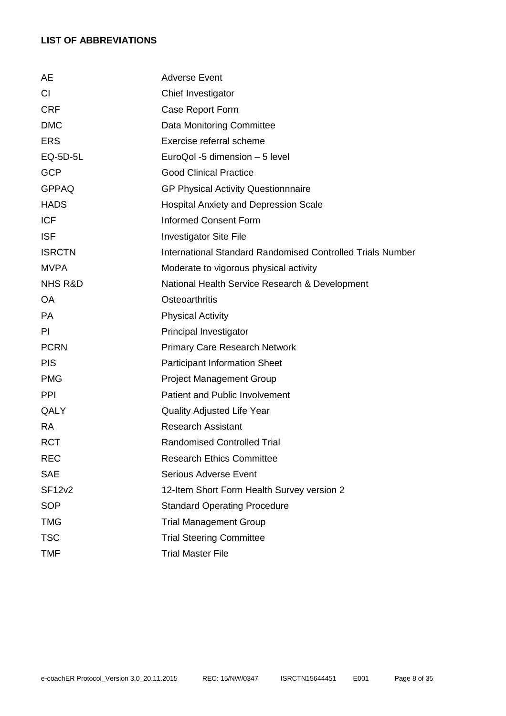# **LIST OF ABBREVIATIONS**

| AE                 | <b>Adverse Event</b>                                              |
|--------------------|-------------------------------------------------------------------|
| CI                 | Chief Investigator                                                |
| <b>CRF</b>         | Case Report Form                                                  |
| <b>DMC</b>         | Data Monitoring Committee                                         |
| <b>ERS</b>         | Exercise referral scheme                                          |
| EQ-5D-5L           | EuroQol -5 dimension - 5 level                                    |
| <b>GCP</b>         | <b>Good Clinical Practice</b>                                     |
| <b>GPPAQ</b>       | <b>GP Physical Activity Questionnnaire</b>                        |
| <b>HADS</b>        | <b>Hospital Anxiety and Depression Scale</b>                      |
| <b>ICF</b>         | <b>Informed Consent Form</b>                                      |
| <b>ISF</b>         | <b>Investigator Site File</b>                                     |
| <b>ISRCTN</b>      | <b>International Standard Randomised Controlled Trials Number</b> |
| <b>MVPA</b>        | Moderate to vigorous physical activity                            |
| <b>NHS R&amp;D</b> | National Health Service Research & Development                    |
| <b>OA</b>          | <b>Osteoarthritis</b>                                             |
| <b>PA</b>          | <b>Physical Activity</b>                                          |
| PI                 | Principal Investigator                                            |
| <b>PCRN</b>        | <b>Primary Care Research Network</b>                              |
| <b>PIS</b>         | <b>Participant Information Sheet</b>                              |
| <b>PMG</b>         | <b>Project Management Group</b>                                   |
| <b>PPI</b>         | <b>Patient and Public Involvement</b>                             |
| QALY               | <b>Quality Adjusted Life Year</b>                                 |
| <b>RA</b>          | <b>Research Assistant</b>                                         |
| <b>RCT</b>         | <b>Randomised Controlled Trial</b>                                |
| <b>REC</b>         | <b>Research Ethics Committee</b>                                  |
| <b>SAE</b>         | <b>Serious Adverse Event</b>                                      |
| <b>SF12v2</b>      | 12-Item Short Form Health Survey version 2                        |
| <b>SOP</b>         | <b>Standard Operating Procedure</b>                               |
| <b>TMG</b>         | <b>Trial Management Group</b>                                     |
| <b>TSC</b>         | <b>Trial Steering Committee</b>                                   |
| <b>TMF</b>         | <b>Trial Master File</b>                                          |
|                    |                                                                   |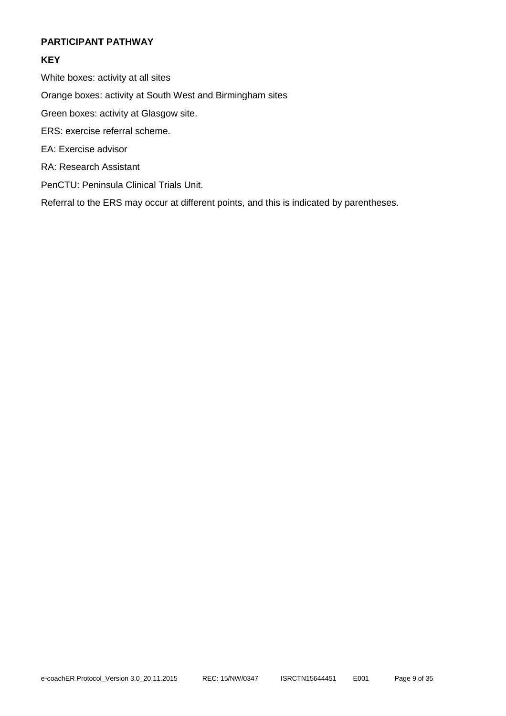#### <span id="page-9-0"></span>**PARTICIPANT PATHWAY**

# **KEY**

White boxes: activity at all sites

Orange boxes: activity at South West and Birmingham sites

Green boxes: activity at Glasgow site.

- ERS: exercise referral scheme.
- EA: Exercise advisor
- RA: Research Assistant
- PenCTU: Peninsula Clinical Trials Unit.

Referral to the ERS may occur at different points, and this is indicated by parentheses.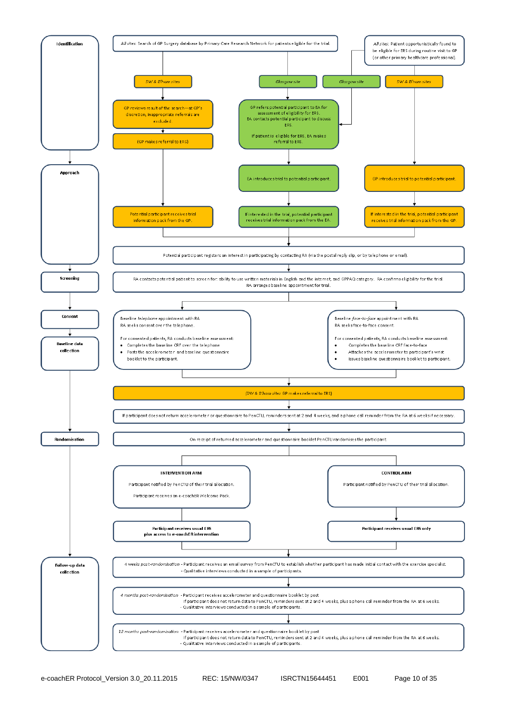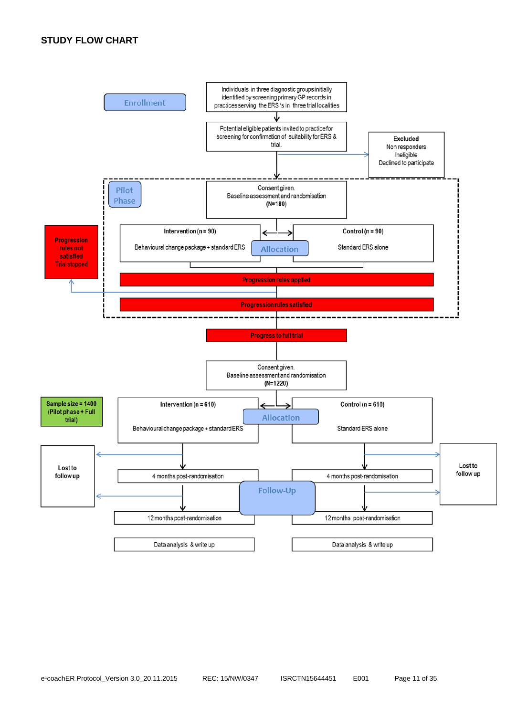#### **STUDY FLOW CHART**

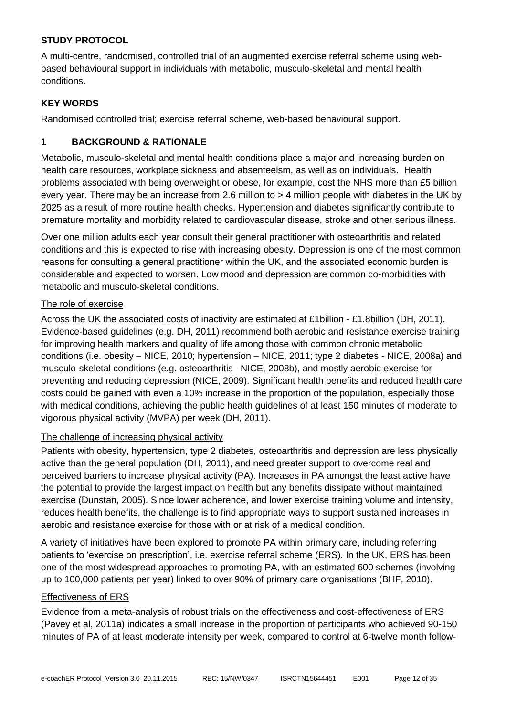#### **STUDY PROTOCOL**

A multi-centre, randomised, controlled trial of an augmented exercise referral scheme using webbased behavioural support in individuals with metabolic, musculo-skeletal and mental health conditions.

#### **KEY WORDS**

Randomised controlled trial; exercise referral scheme, web-based behavioural support.

# <span id="page-12-0"></span>**1 BACKGROUND & RATIONALE**

Metabolic, musculo-skeletal and mental health conditions place a major and increasing burden on health care resources, workplace sickness and absenteeism, as well as on individuals. Health problems associated with being overweight or obese, for example, cost the NHS more than £5 billion every year. There may be an increase from 2.6 million to > 4 million people with diabetes in the UK by 2025 as a result of more routine health checks. Hypertension and diabetes significantly contribute to premature mortality and morbidity related to cardiovascular disease, stroke and other serious illness.

Over one million adults each year consult their general practitioner with osteoarthritis and related conditions and this is expected to rise with increasing obesity. Depression is one of the most common reasons for consulting a general practitioner within the UK, and the associated economic burden is considerable and expected to worsen. Low mood and depression are common co-morbidities with metabolic and musculo-skeletal conditions.

#### The role of exercise

Across the UK the associated costs of inactivity are estimated at £1billion - £1.8billion (DH, 2011). Evidence-based guidelines (e.g. DH, 2011) recommend both aerobic and resistance exercise training for improving health markers and quality of life among those with common chronic metabolic conditions (i.e. obesity – NICE, 2010; hypertension – NICE, 2011; type 2 diabetes - NICE, 2008a) and musculo-skeletal conditions (e.g. osteoarthritis– NICE, 2008b), and mostly aerobic exercise for preventing and reducing depression (NICE, 2009). Significant health benefits and reduced health care costs could be gained with even a 10% increase in the proportion of the population, especially those with medical conditions, achieving the public health guidelines of at least 150 minutes of moderate to vigorous physical activity (MVPA) per week (DH, 2011).

#### The challenge of increasing physical activity

Patients with obesity, hypertension, type 2 diabetes, osteoarthritis and depression are less physically active than the general population (DH, 2011), and need greater support to overcome real and perceived barriers to increase physical activity (PA). Increases in PA amongst the least active have the potential to provide the largest impact on health but any benefits dissipate without maintained exercise (Dunstan, 2005). Since lower adherence, and lower exercise training volume and intensity, reduces health benefits, the challenge is to find appropriate ways to support sustained increases in aerobic and resistance exercise for those with or at risk of a medical condition.

A variety of initiatives have been explored to promote PA within primary care, including referring patients to 'exercise on prescription', i.e. exercise referral scheme (ERS). In the UK, ERS has been one of the most widespread approaches to promoting PA, with an estimated 600 schemes (involving up to 100,000 patients per year) linked to over 90% of primary care organisations (BHF, 2010).

#### Effectiveness of ERS

Evidence from a meta-analysis of robust trials on the effectiveness and cost-effectiveness of ERS (Pavey et al, 2011a) indicates a small increase in the proportion of participants who achieved 90-150 minutes of PA of at least moderate intensity per week, compared to control at 6-twelve month follow-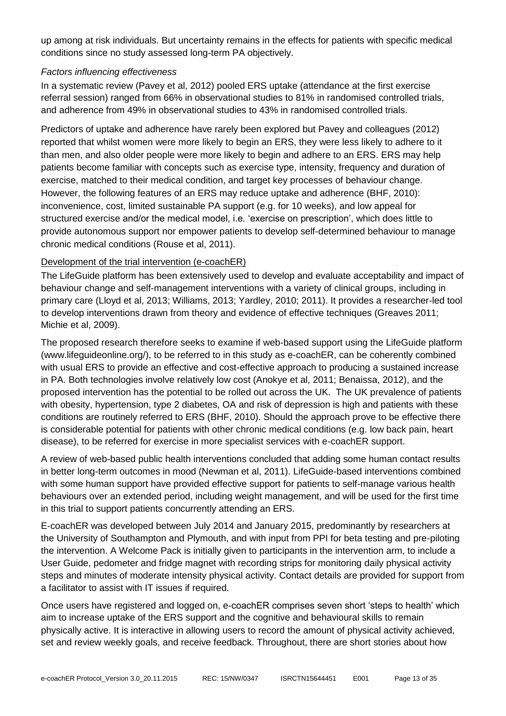up among at risk individuals. But uncertainty remains in the effects for patients with specific medical conditions since no study assessed long-term PA objectively.

#### *Factors influencing effectiveness*

In a systematic review (Pavey et al, 2012) pooled ERS uptake (attendance at the first exercise referral session) ranged from 66% in observational studies to 81% in randomised controlled trials, and adherence from 49% in observational studies to 43% in randomised controlled trials.

Predictors of uptake and adherence have rarely been explored but Pavey and colleagues (2012) reported that whilst women were more likely to begin an ERS, they were less likely to adhere to it than men, and also older people were more likely to begin and adhere to an ERS. ERS may help patients become familiar with concepts such as exercise type, intensity, frequency and duration of exercise, matched to their medical condition, and target key processes of behaviour change. However, the following features of an ERS may reduce uptake and adherence (BHF, 2010): inconvenience, cost, limited sustainable PA support (e.g. for 10 weeks), and low appeal for structured exercise and/or the medical model, i.e. 'exercise on prescription', which does little to provide autonomous support nor empower patients to develop self-determined behaviour to manage chronic medical conditions (Rouse et al, 2011).

# Development of the trial intervention (e-coachER)

The LifeGuide platform has been extensively used to develop and evaluate acceptability and impact of behaviour change and self-management interventions with a variety of clinical groups, including in primary care (Lloyd et al, 2013; Williams, 2013; Yardley, 2010; 2011). It provides a researcher-led tool to develop interventions drawn from theory and evidence of effective techniques (Greaves 2011; Michie et al, 2009).

The proposed research therefore seeks to examine if web-based support using the LifeGuide platform (www.lifeguideonline.org/), to be referred to in this study as e-coachER, can be coherently combined with usual ERS to provide an effective and cost-effective approach to producing a sustained increase in PA. Both technologies involve relatively low cost (Anokye et al, 2011; Benaissa, 2012), and the proposed intervention has the potential to be rolled out across the UK. The UK prevalence of patients with obesity, hypertension, type 2 diabetes, OA and risk of depression is high and patients with these conditions are routinely referred to ERS (BHF, 2010). Should the approach prove to be effective there is considerable potential for patients with other chronic medical conditions (e.g. low back pain, heart disease), to be referred for exercise in more specialist services with e-coachER support.

A review of web-based public health interventions concluded that adding some human contact results in better long-term outcomes in mood (Newman et al, 2011). LifeGuide-based interventions combined with some human support have provided effective support for patients to self-manage various health behaviours over an extended period, including weight management, and will be used for the first time in this trial to support patients concurrently attending an ERS.

E-coachER was developed between July 2014 and January 2015, predominantly by researchers at the University of Southampton and Plymouth, and with input from PPI for beta testing and pre-piloting the intervention. A Welcome Pack is initially given to participants in the intervention arm, to include a User Guide, pedometer and fridge magnet with recording strips for monitoring daily physical activity steps and minutes of moderate intensity physical activity. Contact details are provided for support from a facilitator to assist with IT issues if required.

Once users have registered and logged on, e-coachER comprises seven short 'steps to health' which aim to increase uptake of the ERS support and the cognitive and behavioural skills to remain physically active. It is interactive in allowing users to record the amount of physical activity achieved, set and review weekly goals, and receive feedback. Throughout, there are short stories about how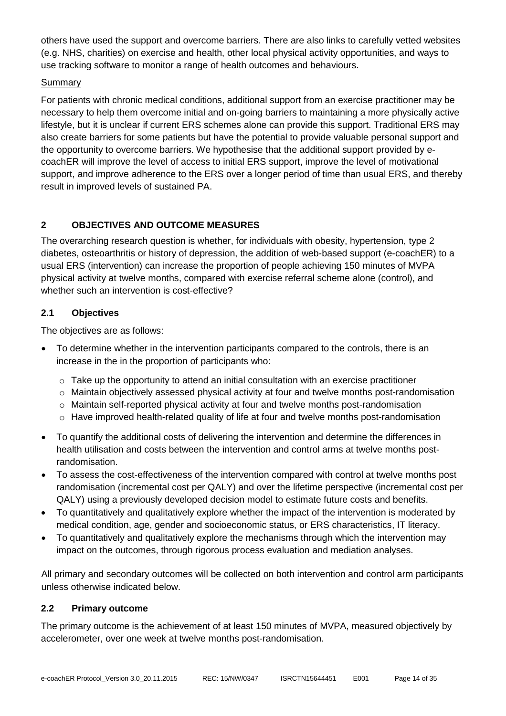others have used the support and overcome barriers. There are also links to carefully vetted websites (e.g. NHS, charities) on exercise and health, other local physical activity opportunities, and ways to use tracking software to monitor a range of health outcomes and behaviours.

# Summary

For patients with chronic medical conditions, additional support from an exercise practitioner may be necessary to help them overcome initial and on-going barriers to maintaining a more physically active lifestyle, but it is unclear if current ERS schemes alone can provide this support. Traditional ERS may also create barriers for some patients but have the potential to provide valuable personal support and the opportunity to overcome barriers. We hypothesise that the additional support provided by ecoachER will improve the level of access to initial ERS support, improve the level of motivational support, and improve adherence to the ERS over a longer period of time than usual ERS, and thereby result in improved levels of sustained PA.

# <span id="page-14-0"></span>**2 OBJECTIVES AND OUTCOME MEASURES**

The overarching research question is whether, for individuals with obesity, hypertension, type 2 diabetes, osteoarthritis or history of depression, the addition of web-based support (e-coachER) to a usual ERS (intervention) can increase the proportion of people achieving 150 minutes of MVPA physical activity at twelve months, compared with exercise referral scheme alone (control), and whether such an intervention is cost-effective?

# **2.1 Objectives**

The objectives are as follows:

- To determine whether in the intervention participants compared to the controls, there is an increase in the in the proportion of participants who:
	- o Take up the opportunity to attend an initial consultation with an exercise practitioner
	- $\circ$  Maintain objectively assessed physical activity at four and twelve months post-randomisation
	- $\circ$  Maintain self-reported physical activity at four and twelve months post-randomisation
	- o Have improved health-related quality of life at four and twelve months post-randomisation
- To quantify the additional costs of delivering the intervention and determine the differences in health utilisation and costs between the intervention and control arms at twelve months postrandomisation.
- To assess the cost-effectiveness of the intervention compared with control at twelve months post randomisation (incremental cost per QALY) and over the lifetime perspective (incremental cost per QALY) using a previously developed decision model to estimate future costs and benefits.
- To quantitatively and qualitatively explore whether the impact of the intervention is moderated by medical condition, age, gender and socioeconomic status, or ERS characteristics, IT literacy.
- To quantitatively and qualitatively explore the mechanisms through which the intervention may impact on the outcomes, through rigorous process evaluation and mediation analyses.

All primary and secondary outcomes will be collected on both intervention and control arm participants unless otherwise indicated below.

# **2.2 Primary outcome**

The primary outcome is the achievement of at least 150 minutes of MVPA, measured objectively by accelerometer, over one week at twelve months post-randomisation.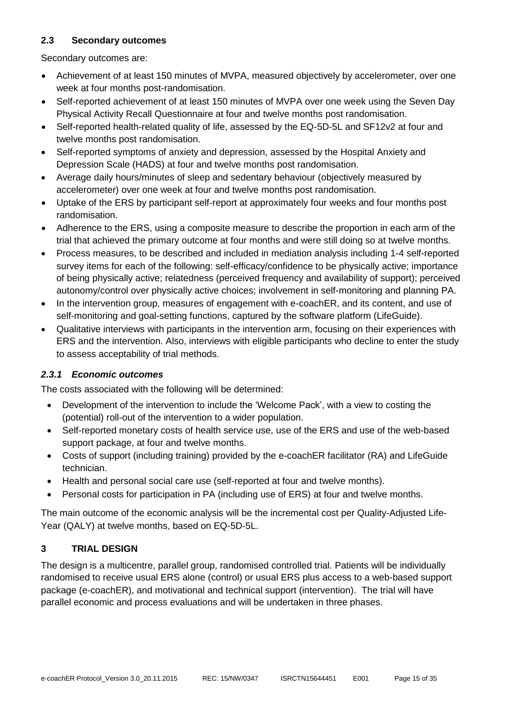# **2.3 Secondary outcomes**

Secondary outcomes are:

- Achievement of at least 150 minutes of MVPA, measured objectively by accelerometer, over one week at four months post-randomisation.
- Self-reported achievement of at least 150 minutes of MVPA over one week using the Seven Day Physical Activity Recall Questionnaire at four and twelve months post randomisation.
- Self-reported health-related quality of life, assessed by the EQ-5D-5L and SF12v2 at four and twelve months post randomisation.
- Self-reported symptoms of anxiety and depression, assessed by the Hospital Anxiety and Depression Scale (HADS) at four and twelve months post randomisation.
- Average daily hours/minutes of sleep and sedentary behaviour (objectively measured by accelerometer) over one week at four and twelve months post randomisation.
- Uptake of the ERS by participant self-report at approximately four weeks and four months post randomisation.
- Adherence to the ERS, using a composite measure to describe the proportion in each arm of the trial that achieved the primary outcome at four months and were still doing so at twelve months.
- Process measures, to be described and included in mediation analysis including 1-4 self-reported survey items for each of the following: self-efficacy/confidence to be physically active; importance of being physically active; relatedness (perceived frequency and availability of support); perceived autonomy/control over physically active choices; involvement in self-monitoring and planning PA.
- In the intervention group, measures of engagement with e-coachER, and its content, and use of self-monitoring and goal-setting functions, captured by the software platform (LifeGuide).
- Qualitative interviews with participants in the intervention arm, focusing on their experiences with ERS and the intervention. Also, interviews with eligible participants who decline to enter the study to assess acceptability of trial methods.

# *2.3.1 Economic outcomes*

The costs associated with the following will be determined:

- Development of the intervention to include the 'Welcome Pack', with a view to costing the (potential) roll-out of the intervention to a wider population.
- Self-reported monetary costs of health service use, use of the ERS and use of the web-based support package, at four and twelve months.
- Costs of support (including training) provided by the e-coachER facilitator (RA) and LifeGuide technician.
- Health and personal social care use (self-reported at four and twelve months).
- Personal costs for participation in PA (including use of ERS) at four and twelve months.

The main outcome of the economic analysis will be the incremental cost per Quality-Adjusted Life-Year (QALY) at twelve months, based on EQ-5D-5L.

# **3 TRIAL DESIGN**

The design is a multicentre, parallel group, randomised controlled trial. Patients will be individually randomised to receive usual ERS alone (control) or usual ERS plus access to a web-based support package (e-coachER), and motivational and technical support (intervention). The trial will have parallel economic and process evaluations and will be undertaken in three phases.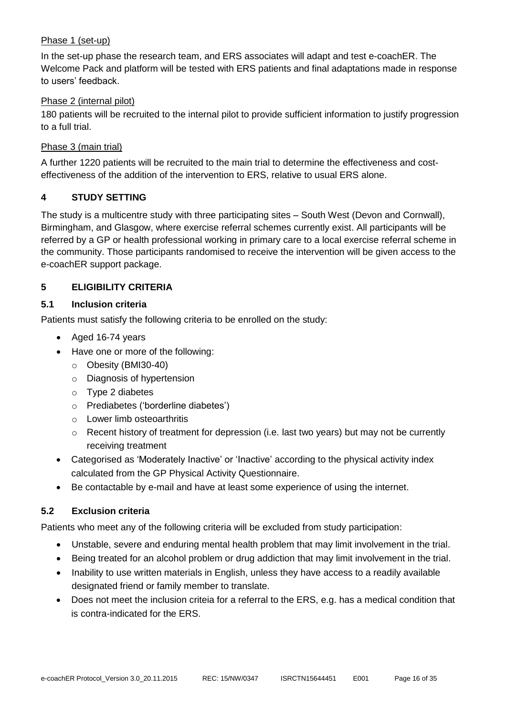#### Phase 1 (set-up)

In the set-up phase the research team, and ERS associates will adapt and test e-coachER. The Welcome Pack and platform will be tested with ERS patients and final adaptations made in response to users' feedback.

#### Phase 2 (internal pilot)

180 patients will be recruited to the internal pilot to provide sufficient information to justify progression to a full trial.

#### Phase 3 (main trial)

A further 1220 patients will be recruited to the main trial to determine the effectiveness and costeffectiveness of the addition of the intervention to ERS, relative to usual ERS alone.

#### <span id="page-16-0"></span>**4 STUDY SETTING**

The study is a multicentre study with three participating sites – South West (Devon and Cornwall), Birmingham, and Glasgow, where exercise referral schemes currently exist. All participants will be referred by a GP or health professional working in primary care to a local exercise referral scheme in the community. Those participants randomised to receive the intervention will be given access to the e-coachER support package.

#### <span id="page-16-1"></span>**5 ELIGIBILITY CRITERIA**

#### **5.1 Inclusion criteria**

Patients must satisfy the following criteria to be enrolled on the study:

- Aged 16-74 years
- Have one or more of the following:
	- o Obesity (BMI30-40)
	- o Diagnosis of hypertension
	- o Type 2 diabetes
	- o Prediabetes ('borderline diabetes')
	- o Lower limb osteoarthritis
	- o Recent history of treatment for depression (i.e. last two years) but may not be currently receiving treatment
- Categorised as 'Moderately Inactive' or 'Inactive' according to the physical activity index calculated from the GP Physical Activity Questionnaire.
- Be contactable by e-mail and have at least some experience of using the internet.

# **5.2 Exclusion criteria**

Patients who meet any of the following criteria will be excluded from study participation:

- Unstable, severe and enduring mental health problem that may limit involvement in the trial.
- Being treated for an alcohol problem or drug addiction that may limit involvement in the trial.
- Inability to use written materials in English, unless they have access to a readily available designated friend or family member to translate.
- Does not meet the inclusion criteia for a referral to the ERS, e.g. has a medical condition that is contra-indicated for the ERS.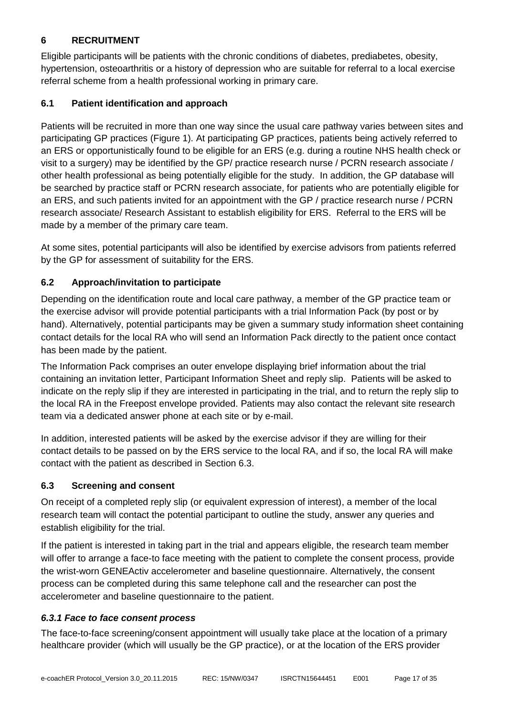# <span id="page-17-0"></span>**6 RECRUITMENT**

Eligible participants will be patients with the chronic conditions of diabetes, prediabetes, obesity, hypertension, osteoarthritis or a history of depression who are suitable for referral to a local exercise referral scheme from a health professional working in primary care.

# **6.1 Patient identification and approach**

Patients will be recruited in more than one way since the usual care pathway varies between sites and participating GP practices (Figure 1). At participating GP practices, patients being actively referred to an ERS or opportunistically found to be eligible for an ERS (e.g. during a routine NHS health check or visit to a surgery) may be identified by the GP/ practice research nurse / PCRN research associate / other health professional as being potentially eligible for the study. In addition, the GP database will be searched by practice staff or PCRN research associate, for patients who are potentially eligible for an ERS, and such patients invited for an appointment with the GP / practice research nurse / PCRN research associate/ Research Assistant to establish eligibility for ERS. Referral to the ERS will be made by a member of the primary care team.

At some sites, potential participants will also be identified by exercise advisors from patients referred by the GP for assessment of suitability for the ERS.

# **6.2 Approach/invitation to participate**

Depending on the identification route and local care pathway, a member of the GP practice team or the exercise advisor will provide potential participants with a trial Information Pack (by post or by hand). Alternatively, potential participants may be given a summary study information sheet containing contact details for the local RA who will send an Information Pack directly to the patient once contact has been made by the patient.

The Information Pack comprises an outer envelope displaying brief information about the trial containing an invitation letter, Participant Information Sheet and reply slip. Patients will be asked to indicate on the reply slip if they are interested in participating in the trial, and to return the reply slip to the local RA in the Freepost envelope provided. Patients may also contact the relevant site research team via a dedicated answer phone at each site or by e-mail.

In addition, interested patients will be asked by the exercise advisor if they are willing for their contact details to be passed on by the ERS service to the local RA, and if so, the local RA will make contact with the patient as described in Section 6.3.

# **6.3 Screening and consent**

On receipt of a completed reply slip (or equivalent expression of interest), a member of the local research team will contact the potential participant to outline the study, answer any queries and establish eligibility for the trial.

If the patient is interested in taking part in the trial and appears eligible, the research team member will offer to arrange a face-to face meeting with the patient to complete the consent process, provide the wrist-worn GENEActiv accelerometer and baseline questionnaire. Alternatively, the consent process can be completed during this same telephone call and the researcher can post the accelerometer and baseline questionnaire to the patient.

# *6.3.1 Face to face consent process*

The face-to-face screening/consent appointment will usually take place at the location of a primary healthcare provider (which will usually be the GP practice), or at the location of the ERS provider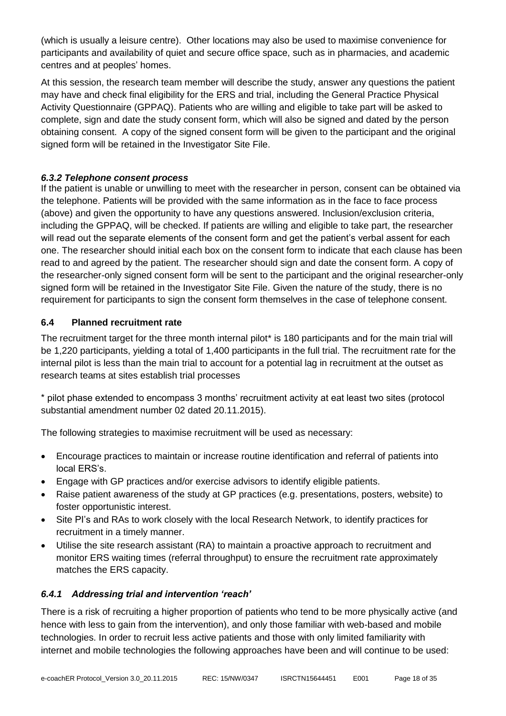(which is usually a leisure centre). Other locations may also be used to maximise convenience for participants and availability of quiet and secure office space, such as in pharmacies, and academic centres and at peoples' homes.

At this session, the research team member will describe the study, answer any questions the patient may have and check final eligibility for the ERS and trial, including the General Practice Physical Activity Questionnaire (GPPAQ). Patients who are willing and eligible to take part will be asked to complete, sign and date the study consent form, which will also be signed and dated by the person obtaining consent. A copy of the signed consent form will be given to the participant and the original signed form will be retained in the Investigator Site File.

#### *6.3.2 Telephone consent process*

If the patient is unable or unwilling to meet with the researcher in person, consent can be obtained via the telephone. Patients will be provided with the same information as in the face to face process (above) and given the opportunity to have any questions answered. Inclusion/exclusion criteria, including the GPPAQ, will be checked. If patients are willing and eligible to take part, the researcher will read out the separate elements of the consent form and get the patient's verbal assent for each one. The researcher should initial each box on the consent form to indicate that each clause has been read to and agreed by the patient. The researcher should sign and date the consent form. A copy of the researcher-only signed consent form will be sent to the participant and the original researcher-only signed form will be retained in the Investigator Site File. Given the nature of the study, there is no requirement for participants to sign the consent form themselves in the case of telephone consent.

# **6.4 Planned recruitment rate**

The recruitment target for the three month internal pilot\* is 180 participants and for the main trial will be 1,220 participants, yielding a total of 1,400 participants in the full trial. The recruitment rate for the internal pilot is less than the main trial to account for a potential lag in recruitment at the outset as research teams at sites establish trial processes

\* pilot phase extended to encompass 3 months' recruitment activity at eat least two sites (protocol substantial amendment number 02 dated 20.11.2015).

The following strategies to maximise recruitment will be used as necessary:

- Encourage practices to maintain or increase routine identification and referral of patients into local ERS's.
- Engage with GP practices and/or exercise advisors to identify eligible patients.
- Raise patient awareness of the study at GP practices (e.g. presentations, posters, website) to foster opportunistic interest.
- Site PI's and RAs to work closely with the local Research Network, to identify practices for recruitment in a timely manner.
- Utilise the site research assistant (RA) to maintain a proactive approach to recruitment and monitor ERS waiting times (referral throughput) to ensure the recruitment rate approximately matches the ERS capacity.

# *6.4.1 Addressing trial and intervention 'reach'*

There is a risk of recruiting a higher proportion of patients who tend to be more physically active (and hence with less to gain from the intervention), and only those familiar with web-based and mobile technologies. In order to recruit less active patients and those with only limited familiarity with internet and mobile technologies the following approaches have been and will continue to be used: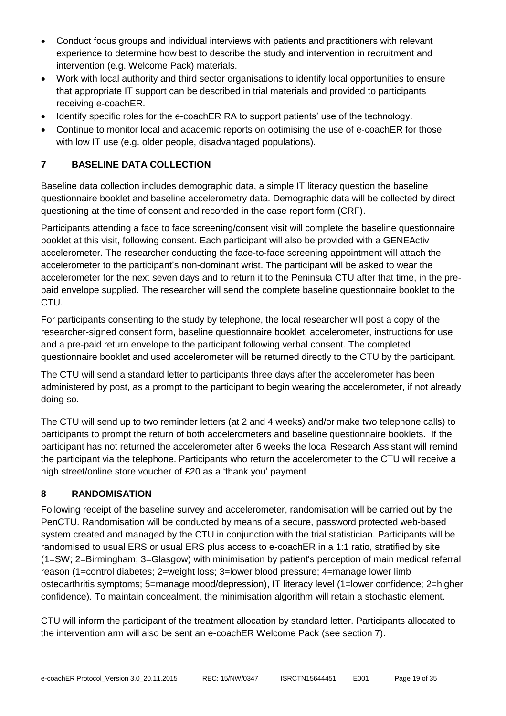- Conduct focus groups and individual interviews with patients and practitioners with relevant experience to determine how best to describe the study and intervention in recruitment and intervention (e.g. Welcome Pack) materials.
- Work with local authority and third sector organisations to identify local opportunities to ensure that appropriate IT support can be described in trial materials and provided to participants receiving e-coachER.
- Identify specific roles for the e-coachER RA to support patients' use of the technology.
- <span id="page-19-0"></span> Continue to monitor local and academic reports on optimising the use of e-coachER for those with low IT use (e.g. older people, disadvantaged populations).

# **7 BASELINE DATA COLLECTION**

Baseline data collection includes demographic data, a simple IT literacy question the baseline questionnaire booklet and baseline accelerometry data. Demographic data will be collected by direct questioning at the time of consent and recorded in the case report form (CRF).

Participants attending a face to face screening/consent visit will complete the baseline questionnaire booklet at this visit, following consent. Each participant will also be provided with a GENEActiv accelerometer. The researcher conducting the face-to-face screening appointment will attach the accelerometer to the participant's non-dominant wrist. The participant will be asked to wear the accelerometer for the next seven days and to return it to the Peninsula CTU after that time, in the prepaid envelope supplied. The researcher will send the complete baseline questionnaire booklet to the CTU.

For participants consenting to the study by telephone, the local researcher will post a copy of the researcher-signed consent form, baseline questionnaire booklet, accelerometer, instructions for use and a pre-paid return envelope to the participant following verbal consent. The completed questionnaire booklet and used accelerometer will be returned directly to the CTU by the participant.

The CTU will send a standard letter to participants three days after the accelerometer has been administered by post, as a prompt to the participant to begin wearing the accelerometer, if not already doing so.

The CTU will send up to two reminder letters (at 2 and 4 weeks) and/or make two telephone calls) to participants to prompt the return of both accelerometers and baseline questionnaire booklets. If the participant has not returned the accelerometer after 6 weeks the local Research Assistant will remind the participant via the telephone. Participants who return the accelerometer to the CTU will receive a high street/online store voucher of £20 as a 'thank you' payment.

# <span id="page-19-1"></span>**8 RANDOMISATION**

Following receipt of the baseline survey and accelerometer, randomisation will be carried out by the PenCTU. Randomisation will be conducted by means of a secure, password protected web-based system created and managed by the CTU in conjunction with the trial statistician. Participants will be randomised to usual ERS or usual ERS plus access to e-coachER in a 1:1 ratio, stratified by site (1=SW; 2=Birmingham; 3=Glasgow) with minimisation by patient's perception of main medical referral reason (1=control diabetes; 2=weight loss; 3=lower blood pressure; 4=manage lower limb osteoarthritis symptoms; 5=manage mood/depression), IT literacy level (1=lower confidence; 2=higher confidence). To maintain concealment, the minimisation algorithm will retain a stochastic element.

CTU will inform the participant of the treatment allocation by standard letter. Participants allocated to the intervention arm will also be sent an e-coachER Welcome Pack (see section 7).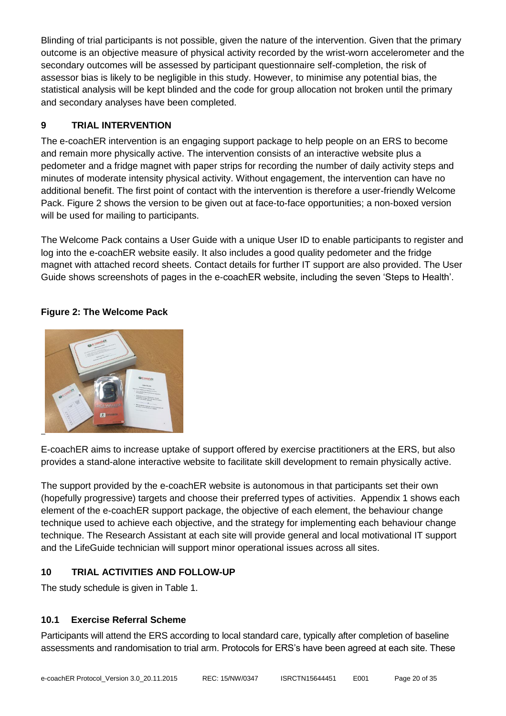Blinding of trial participants is not possible, given the nature of the intervention. Given that the primary outcome is an objective measure of physical activity recorded by the wrist-worn accelerometer and the secondary outcomes will be assessed by participant questionnaire self-completion, the risk of assessor bias is likely to be negligible in this study. However, to minimise any potential bias, the statistical analysis will be kept blinded and the code for group allocation not broken until the primary and secondary analyses have been completed.

# <span id="page-20-0"></span>**9 TRIAL INTERVENTION**

The e-coachER intervention is an engaging support package to help people on an ERS to become and remain more physically active. The intervention consists of an interactive website plus a pedometer and a fridge magnet with paper strips for recording the number of daily activity steps and minutes of moderate intensity physical activity. Without engagement, the intervention can have no additional benefit. The first point of contact with the intervention is therefore a user-friendly Welcome Pack. Figure 2 shows the version to be given out at face-to-face opportunities; a non-boxed version will be used for mailing to participants.

The Welcome Pack contains a User Guide with a unique User ID to enable participants to register and log into the e-coachER website easily. It also includes a good quality pedometer and the fridge magnet with attached record sheets. Contact details for further IT support are also provided. The User Guide shows screenshots of pages in the e-coachER website, including the seven 'Steps to Health'.

# **Figure 2: The Welcome Pack**



E-coachER aims to increase uptake of support offered by exercise practitioners at the ERS, but also provides a stand-alone interactive website to facilitate skill development to remain physically active.

The support provided by the e-coachER website is autonomous in that participants set their own (hopefully progressive) targets and choose their preferred types of activities. Appendix 1 shows each element of the e-coachER support package, the objective of each element, the behaviour change technique used to achieve each objective, and the strategy for implementing each behaviour change technique. The Research Assistant at each site will provide general and local motivational IT support and the LifeGuide technician will support minor operational issues across all sites.

# <span id="page-20-1"></span>**10 TRIAL ACTIVITIES AND FOLLOW-UP**

The study schedule is given in Table 1.

# **10.1 Exercise Referral Scheme**

Participants will attend the ERS according to local standard care, typically after completion of baseline assessments and randomisation to trial arm. Protocols for ERS's have been agreed at each site. These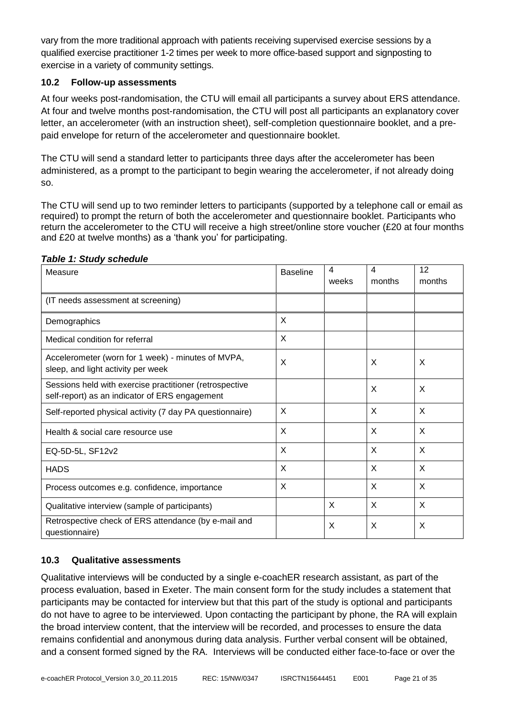vary from the more traditional approach with patients receiving supervised exercise sessions by a qualified exercise practitioner 1-2 times per week to more office-based support and signposting to exercise in a variety of community settings.

#### **10.2 Follow-up assessments**

At four weeks post-randomisation, the CTU will email all participants a survey about ERS attendance. At four and twelve months post-randomisation, the CTU will post all participants an explanatory cover letter, an accelerometer (with an instruction sheet), self-completion questionnaire booklet, and a prepaid envelope for return of the accelerometer and questionnaire booklet.

The CTU will send a standard letter to participants three days after the accelerometer has been administered, as a prompt to the participant to begin wearing the accelerometer, if not already doing so.

The CTU will send up to two reminder letters to participants (supported by a telephone call or email as required) to prompt the return of both the accelerometer and questionnaire booklet. Participants who return the accelerometer to the CTU will receive a high street/online store voucher (£20 at four months and £20 at twelve months) as a 'thank you' for participating.

| Measure                                                                                                   | <b>Baseline</b> | 4<br>weeks | 4<br>months | 12<br>months |
|-----------------------------------------------------------------------------------------------------------|-----------------|------------|-------------|--------------|
| (IT needs assessment at screening)                                                                        |                 |            |             |              |
| Demographics                                                                                              | X               |            |             |              |
| Medical condition for referral                                                                            | X               |            |             |              |
| Accelerometer (worn for 1 week) - minutes of MVPA,<br>sleep, and light activity per week                  | X               |            | X           | X            |
| Sessions held with exercise practitioner (retrospective<br>self-report) as an indicator of ERS engagement |                 |            | X           | X            |
| Self-reported physical activity (7 day PA questionnaire)                                                  | X               |            | X           | X            |
| Health & social care resource use                                                                         | X               |            | X           | X            |
| EQ-5D-5L, SF12v2                                                                                          | X               |            | X           | X            |
| <b>HADS</b>                                                                                               | X               |            | X           | $\times$     |
| Process outcomes e.g. confidence, importance                                                              | X               |            | X           | X            |
| Qualitative interview (sample of participants)                                                            |                 | X          | X           | $\times$     |
| Retrospective check of ERS attendance (by e-mail and<br>questionnaire)                                    |                 | X          | X           | $\times$     |

#### *Table 1: Study schedule*

# **10.3 Qualitative assessments**

Qualitative interviews will be conducted by a single e-coachER research assistant, as part of the process evaluation, based in Exeter. The main consent form for the study includes a statement that participants may be contacted for interview but that this part of the study is optional and participants do not have to agree to be interviewed. Upon contacting the participant by phone, the RA will explain the broad interview content, that the interview will be recorded, and processes to ensure the data remains confidential and anonymous during data analysis. Further verbal consent will be obtained, and a consent formed signed by the RA. Interviews will be conducted either face-to-face or over the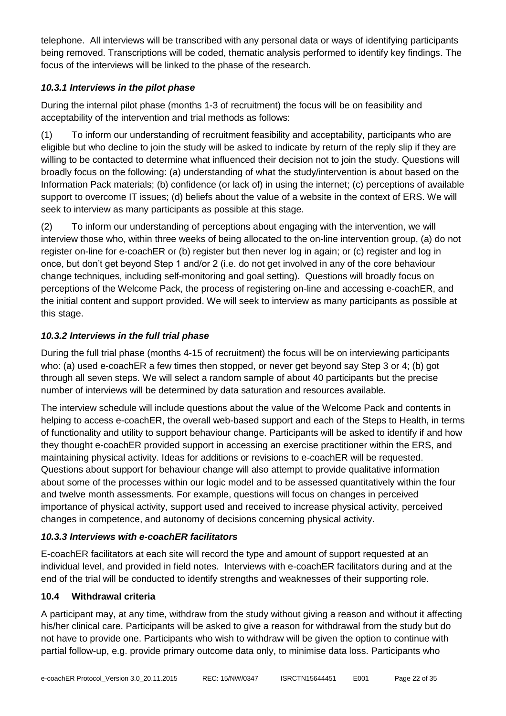telephone. All interviews will be transcribed with any personal data or ways of identifying participants being removed. Transcriptions will be coded, thematic analysis performed to identify key findings. The focus of the interviews will be linked to the phase of the research.

# *10.3.1 Interviews in the pilot phase*

During the internal pilot phase (months 1-3 of recruitment) the focus will be on feasibility and acceptability of the intervention and trial methods as follows:

(1) To inform our understanding of recruitment feasibility and acceptability, participants who are eligible but who decline to join the study will be asked to indicate by return of the reply slip if they are willing to be contacted to determine what influenced their decision not to join the study. Questions will broadly focus on the following: (a) understanding of what the study/intervention is about based on the Information Pack materials; (b) confidence (or lack of) in using the internet; (c) perceptions of available support to overcome IT issues; (d) beliefs about the value of a website in the context of ERS. We will seek to interview as many participants as possible at this stage.

(2) To inform our understanding of perceptions about engaging with the intervention, we will interview those who, within three weeks of being allocated to the on-line intervention group, (a) do not register on-line for e-coachER or (b) register but then never log in again; or (c) register and log in once, but don't get beyond Step 1 and/or 2 (i.e. do not get involved in any of the core behaviour change techniques, including self-monitoring and goal setting). Questions will broadly focus on perceptions of the Welcome Pack, the process of registering on-line and accessing e-coachER, and the initial content and support provided. We will seek to interview as many participants as possible at this stage.

# *10.3.2 Interviews in the full trial phase*

During the full trial phase (months 4-15 of recruitment) the focus will be on interviewing participants who: (a) used e-coachER a few times then stopped, or never get beyond say Step 3 or 4; (b) got through all seven steps. We will select a random sample of about 40 participants but the precise number of interviews will be determined by data saturation and resources available.

The interview schedule will include questions about the value of the Welcome Pack and contents in helping to access e-coachER, the overall web-based support and each of the Steps to Health, in terms of functionality and utility to support behaviour change. Participants will be asked to identify if and how they thought e-coachER provided support in accessing an exercise practitioner within the ERS, and maintaining physical activity. Ideas for additions or revisions to e-coachER will be requested. Questions about support for behaviour change will also attempt to provide qualitative information about some of the processes within our logic model and to be assessed quantitatively within the four and twelve month assessments. For example, questions will focus on changes in perceived importance of physical activity, support used and received to increase physical activity, perceived changes in competence, and autonomy of decisions concerning physical activity.

# *10.3.3 Interviews with e-coachER facilitators*

E-coachER facilitators at each site will record the type and amount of support requested at an individual level, and provided in field notes. Interviews with e-coachER facilitators during and at the end of the trial will be conducted to identify strengths and weaknesses of their supporting role.

# **10.4 Withdrawal criteria**

A participant may, at any time, withdraw from the study without giving a reason and without it affecting his/her clinical care. Participants will be asked to give a reason for withdrawal from the study but do not have to provide one. Participants who wish to withdraw will be given the option to continue with partial follow-up, e.g. provide primary outcome data only, to minimise data loss. Participants who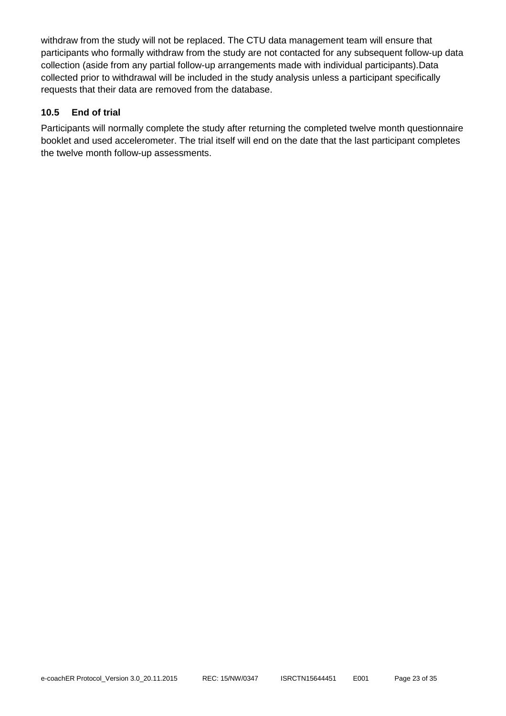withdraw from the study will not be replaced. The CTU data management team will ensure that participants who formally withdraw from the study are not contacted for any subsequent follow-up data collection (aside from any partial follow-up arrangements made with individual participants).Data collected prior to withdrawal will be included in the study analysis unless a participant specifically requests that their data are removed from the database.

# **10.5 End of trial**

Participants will normally complete the study after returning the completed twelve month questionnaire booklet and used accelerometer. The trial itself will end on the date that the last participant completes the twelve month follow-up assessments.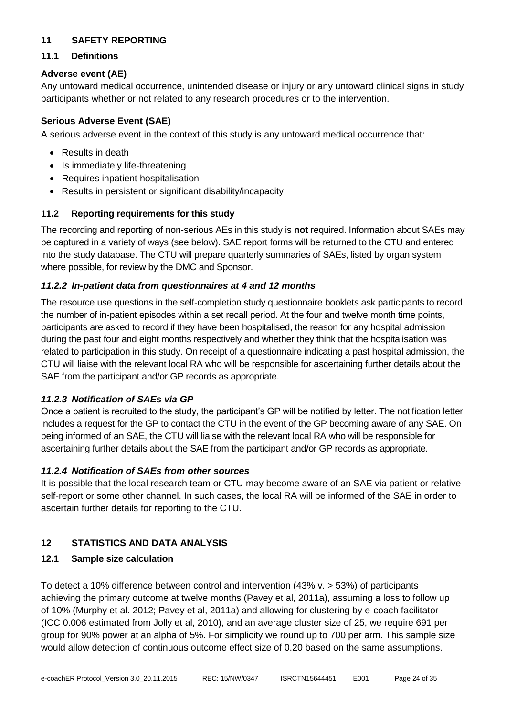# <span id="page-24-0"></span>**11 SAFETY REPORTING**

#### **11.1 Definitions**

#### **Adverse event (AE)**

Any untoward medical occurrence, unintended disease or injury or any untoward clinical signs in study participants whether or not related to any research procedures or to the intervention.

#### **Serious Adverse Event (SAE)**

A serious adverse event in the context of this study is any untoward medical occurrence that:

- Results in death
- Is immediately life-threatening
- Requires inpatient hospitalisation
- Results in persistent or significant disability/incapacity

#### **11.2 Reporting requirements for this study**

The recording and reporting of non-serious AEs in this study is **not** required. Information about SAEs may be captured in a variety of ways (see below). SAE report forms will be returned to the CTU and entered into the study database. The CTU will prepare quarterly summaries of SAEs, listed by organ system where possible, for review by the DMC and Sponsor.

#### *11.2.2 In-patient data from questionnaires at 4 and 12 months*

The resource use questions in the self-completion study questionnaire booklets ask participants to record the number of in-patient episodes within a set recall period. At the four and twelve month time points, participants are asked to record if they have been hospitalised, the reason for any hospital admission during the past four and eight months respectively and whether they think that the hospitalisation was related to participation in this study. On receipt of a questionnaire indicating a past hospital admission, the CTU will liaise with the relevant local RA who will be responsible for ascertaining further details about the SAE from the participant and/or GP records as appropriate.

#### *11.2.3 Notification of SAEs via GP*

Once a patient is recruited to the study, the participant's GP will be notified by letter. The notification letter includes a request for the GP to contact the CTU in the event of the GP becoming aware of any SAE. On being informed of an SAE, the CTU will liaise with the relevant local RA who will be responsible for ascertaining further details about the SAE from the participant and/or GP records as appropriate.

#### *11.2.4 Notification of SAEs from other sources*

It is possible that the local research team or CTU may become aware of an SAE via patient or relative self-report or some other channel. In such cases, the local RA will be informed of the SAE in order to ascertain further details for reporting to the CTU.

# <span id="page-24-1"></span>**12 STATISTICS AND DATA ANALYSIS**

#### **12.1 Sample size calculation**

To detect a 10% difference between control and intervention (43% v. > 53%) of participants achieving the primary outcome at twelve months (Pavey et al, 2011a), assuming a loss to follow up of 10% (Murphy et al. 2012; Pavey et al, 2011a) and allowing for clustering by e-coach facilitator (ICC 0.006 estimated from Jolly et al, 2010), and an average cluster size of 25, we require 691 per group for 90% power at an alpha of 5%. For simplicity we round up to 700 per arm. This sample size would allow detection of continuous outcome effect size of 0.20 based on the same assumptions.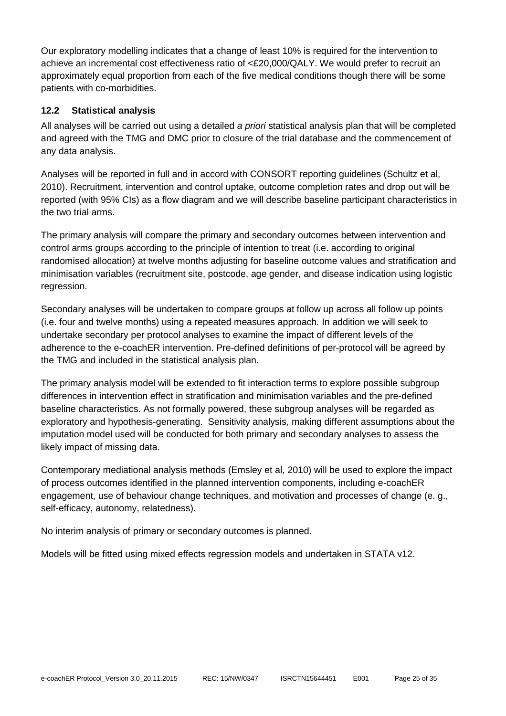Our exploratory modelling indicates that a change of least 10% is required for the intervention to achieve an incremental cost effectiveness ratio of <£20,000/QALY. We would prefer to recruit an approximately equal proportion from each of the five medical conditions though there will be some patients with co-morbidities.

# **12.2 Statistical analysis**

All analyses will be carried out using a detailed *a priori* statistical analysis plan that will be completed and agreed with the TMG and DMC prior to closure of the trial database and the commencement of any data analysis.

Analyses will be reported in full and in accord with CONSORT reporting guidelines (Schultz et al, 2010). Recruitment, intervention and control uptake, outcome completion rates and drop out will be reported (with 95% CIs) as a flow diagram and we will describe baseline participant characteristics in the two trial arms.

The primary analysis will compare the primary and secondary outcomes between intervention and control arms groups according to the principle of intention to treat (i.e. according to original randomised allocation) at twelve months adjusting for baseline outcome values and stratification and minimisation variables (recruitment site, postcode, age gender, and disease indication using logistic regression.

Secondary analyses will be undertaken to compare groups at follow up across all follow up points (i.e. four and twelve months) using a repeated measures approach. In addition we will seek to undertake secondary per protocol analyses to examine the impact of different levels of the adherence to the e-coachER intervention. Pre-defined definitions of per-protocol will be agreed by the TMG and included in the statistical analysis plan.

The primary analysis model will be extended to fit interaction terms to explore possible subgroup differences in intervention effect in stratification and minimisation variables and the pre-defined baseline characteristics. As not formally powered, these subgroup analyses will be regarded as exploratory and hypothesis-generating. Sensitivity analysis, making different assumptions about the imputation model used will be conducted for both primary and secondary analyses to assess the likely impact of missing data.

Contemporary mediational analysis methods (Emsley et al, 2010) will be used to explore the impact of process outcomes identified in the planned intervention components, including e-coachER engagement, use of behaviour change techniques, and motivation and processes of change (e. g., self-efficacy, autonomy, relatedness).

No interim analysis of primary or secondary outcomes is planned.

Models will be fitted using mixed effects regression models and undertaken in STATA v12.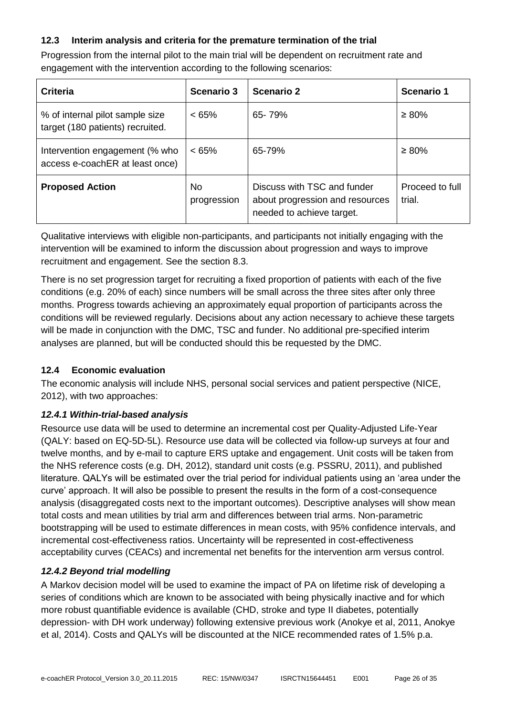# **12.3 Interim analysis and criteria for the premature termination of the trial**

Progression from the internal pilot to the main trial will be dependent on recruitment rate and engagement with the intervention according to the following scenarios:

| Criteria                                                            | Scenario 3         | Scenario 2                                                                                  | <b>Scenario 1</b>         |
|---------------------------------------------------------------------|--------------------|---------------------------------------------------------------------------------------------|---------------------------|
| % of internal pilot sample size<br>target (180 patients) recruited. | $< 65\%$           | 65-79%                                                                                      | $\geq 80\%$               |
| Intervention engagement (% who<br>access e-coachER at least once)   | $< 65\%$           | 65-79%                                                                                      | $\geq 80\%$               |
| <b>Proposed Action</b>                                              | No.<br>progression | Discuss with TSC and funder<br>about progression and resources<br>needed to achieve target. | Proceed to full<br>trial. |

Qualitative interviews with eligible non-participants, and participants not initially engaging with the intervention will be examined to inform the discussion about progression and ways to improve recruitment and engagement. See the section 8.3.

There is no set progression target for recruiting a fixed proportion of patients with each of the five conditions (e.g. 20% of each) since numbers will be small across the three sites after only three months. Progress towards achieving an approximately equal proportion of participants across the conditions will be reviewed regularly. Decisions about any action necessary to achieve these targets will be made in conjunction with the DMC, TSC and funder. No additional pre-specified interim analyses are planned, but will be conducted should this be requested by the DMC.

# **12.4 Economic evaluation**

The economic analysis will include NHS, personal social services and patient perspective (NICE, 2012), with two approaches:

# *12.4.1 Within-trial-based analysis*

Resource use data will be used to determine an incremental cost per Quality-Adjusted Life-Year (QALY: based on EQ-5D-5L). Resource use data will be collected via follow-up surveys at four and twelve months, and by e-mail to capture ERS uptake and engagement. Unit costs will be taken from the NHS reference costs (e.g. DH, 2012), standard unit costs (e.g. PSSRU, 2011), and published literature. QALYs will be estimated over the trial period for individual patients using an 'area under the curve' approach. It will also be possible to present the results in the form of a cost-consequence analysis (disaggregated costs next to the important outcomes). Descriptive analyses will show mean total costs and mean utilities by trial arm and differences between trial arms. Non-parametric bootstrapping will be used to estimate differences in mean costs, with 95% confidence intervals, and incremental cost-effectiveness ratios. Uncertainty will be represented in cost-effectiveness acceptability curves (CEACs) and incremental net benefits for the intervention arm versus control.

# *12.4.2 Beyond trial modelling*

A Markov decision model will be used to examine the impact of PA on lifetime risk of developing a series of conditions which are known to be associated with being physically inactive and for which more robust quantifiable evidence is available (CHD, stroke and type II diabetes, potentially depression- with DH work underway) following extensive previous work (Anokye et al, 2011, Anokye et al, 2014). Costs and QALYs will be discounted at the NICE recommended rates of 1.5% p.a.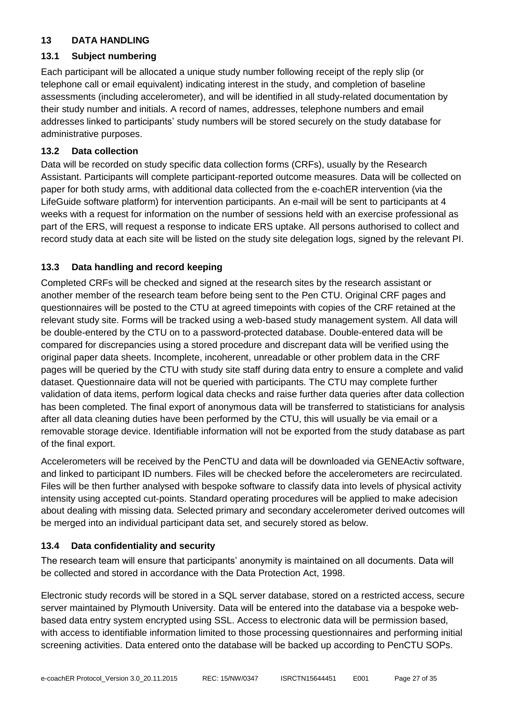#### <span id="page-27-0"></span>**13 DATA HANDLING**

#### **13.1 Subject numbering**

Each participant will be allocated a unique study number following receipt of the reply slip (or telephone call or email equivalent) indicating interest in the study, and completion of baseline assessments (including accelerometer), and will be identified in all study-related documentation by their study number and initials. A record of names, addresses, telephone numbers and email addresses linked to participants' study numbers will be stored securely on the study database for administrative purposes.

#### **13.2 Data collection**

Data will be recorded on study specific data collection forms (CRFs), usually by the Research Assistant. Participants will complete participant-reported outcome measures. Data will be collected on paper for both study arms, with additional data collected from the e-coachER intervention (via the LifeGuide software platform) for intervention participants. An e-mail will be sent to participants at 4 weeks with a request for information on the number of sessions held with an exercise professional as part of the ERS, will request a response to indicate ERS uptake. All persons authorised to collect and record study data at each site will be listed on the study site delegation logs, signed by the relevant PI.

# **13.3 Data handling and record keeping**

Completed CRFs will be checked and signed at the research sites by the research assistant or another member of the research team before being sent to the Pen CTU. Original CRF pages and questionnaires will be posted to the CTU at agreed timepoints with copies of the CRF retained at the relevant study site. Forms will be tracked using a web-based study management system. All data will be double-entered by the CTU on to a password-protected database. Double-entered data will be compared for discrepancies using a stored procedure and discrepant data will be verified using the original paper data sheets. Incomplete, incoherent, unreadable or other problem data in the CRF pages will be queried by the CTU with study site staff during data entry to ensure a complete and valid dataset. Questionnaire data will not be queried with participants. The CTU may complete further validation of data items, perform logical data checks and raise further data queries after data collection has been completed. The final export of anonymous data will be transferred to statisticians for analysis after all data cleaning duties have been performed by the CTU, this will usually be via email or a removable storage device. Identifiable information will not be exported from the study database as part of the final export.

Accelerometers will be received by the PenCTU and data will be downloaded via GENEActiv software, and linked to participant ID numbers. Files will be checked before the accelerometers are recirculated. Files will be then further analysed with bespoke software to classify data into levels of physical activity intensity using accepted cut-points. Standard operating procedures will be applied to make adecision about dealing with missing data. Selected primary and secondary accelerometer derived outcomes will be merged into an individual participant data set, and securely stored as below.

#### **13.4 Data confidentiality and security**

The research team will ensure that participants' anonymity is maintained on all documents. Data will be collected and stored in accordance with the Data Protection Act, 1998.

Electronic study records will be stored in a SQL server database, stored on a restricted access, secure server maintained by Plymouth University. Data will be entered into the database via a bespoke webbased data entry system encrypted using SSL. Access to electronic data will be permission based, with access to identifiable information limited to those processing questionnaires and performing initial screening activities. Data entered onto the database will be backed up according to PenCTU SOPs.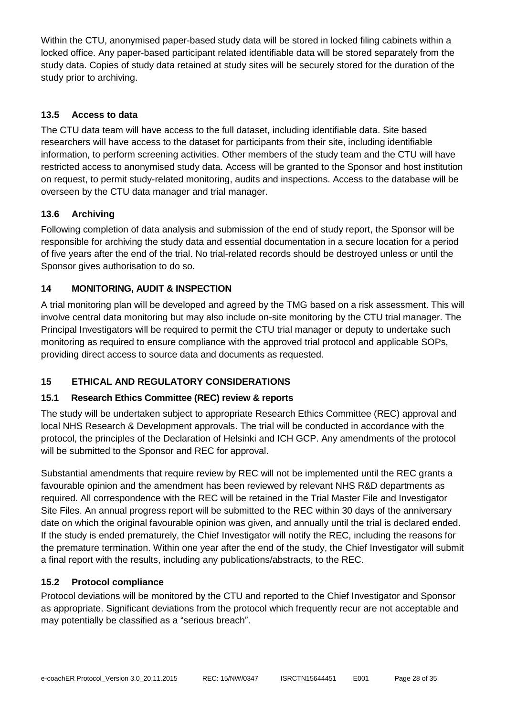Within the CTU, anonymised paper-based study data will be stored in locked filing cabinets within a locked office. Any paper-based participant related identifiable data will be stored separately from the study data. Copies of study data retained at study sites will be securely stored for the duration of the study prior to archiving.

# **13.5 Access to data**

The CTU data team will have access to the full dataset, including identifiable data. Site based researchers will have access to the dataset for participants from their site, including identifiable information, to perform screening activities. Other members of the study team and the CTU will have restricted access to anonymised study data. Access will be granted to the Sponsor and host institution on request, to permit study-related monitoring, audits and inspections. Access to the database will be overseen by the CTU data manager and trial manager.

# **13.6 Archiving**

Following completion of data analysis and submission of the end of study report, the Sponsor will be responsible for archiving the study data and essential documentation in a secure location for a period of five years after the end of the trial. No trial-related records should be destroyed unless or until the Sponsor gives authorisation to do so.

# <span id="page-28-0"></span>**14 MONITORING, AUDIT & INSPECTION**

A trial monitoring plan will be developed and agreed by the TMG based on a risk assessment. This will involve central data monitoring but may also include on-site monitoring by the CTU trial manager. The Principal Investigators will be required to permit the CTU trial manager or deputy to undertake such monitoring as required to ensure compliance with the approved trial protocol and applicable SOPs, providing direct access to source data and documents as requested.

# <span id="page-28-1"></span>**15 ETHICAL AND REGULATORY CONSIDERATIONS**

# **15.1 Research Ethics Committee (REC) review & reports**

The study will be undertaken subject to appropriate Research Ethics Committee (REC) approval and local NHS Research & Development approvals. The trial will be conducted in accordance with the protocol, the principles of the Declaration of Helsinki and ICH GCP. Any amendments of the protocol will be submitted to the Sponsor and REC for approval.

Substantial amendments that require review by REC will not be implemented until the REC grants a favourable opinion and the amendment has been reviewed by relevant NHS R&D departments as required. All correspondence with the REC will be retained in the Trial Master File and Investigator Site Files. An annual progress report will be submitted to the REC within 30 days of the anniversary date on which the original favourable opinion was given, and annually until the trial is declared ended. If the study is ended prematurely, the Chief Investigator will notify the REC, including the reasons for the premature termination. Within one year after the end of the study, the Chief Investigator will submit a final report with the results, including any publications/abstracts, to the REC.

# **15.2 Protocol compliance**

Protocol deviations will be monitored by the CTU and reported to the Chief Investigator and Sponsor as appropriate. Significant deviations from the protocol which frequently recur are not acceptable and may potentially be classified as a "serious breach".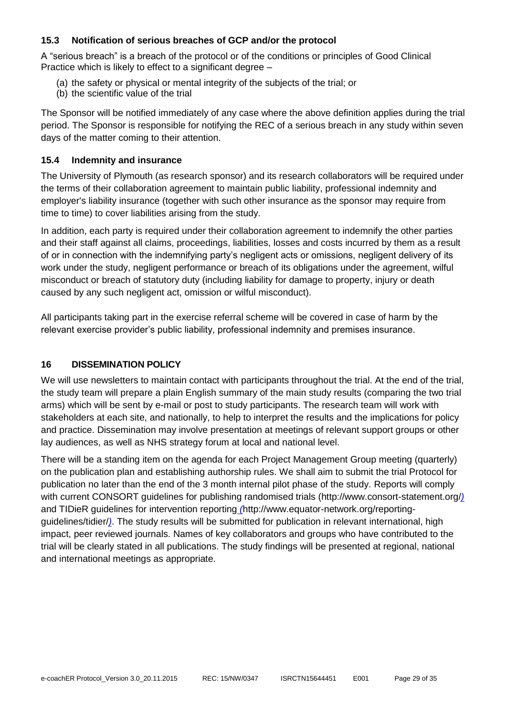#### **15.3 Notification of serious breaches of GCP and/or the protocol**

A "serious breach" is a breach of the protocol or of the conditions or principles of Good Clinical Practice which is likely to effect to a significant degree –

- (a) the safety or physical or mental integrity of the subjects of the trial; or
- (b) the scientific value of the trial

The Sponsor will be notified immediately of any case where the above definition applies during the trial period. The Sponsor is responsible for notifying the REC of a serious breach in any study within seven days of the matter coming to their attention.

#### **15.4 Indemnity and insurance**

The University of Plymouth (as research sponsor) and its research collaborators will be required under the terms of their collaboration agreement to maintain public liability, professional indemnity and employer's liability insurance (together with such other insurance as the sponsor may require from time to time) to cover liabilities arising from the study.

In addition, each party is required under their collaboration agreement to indemnify the other parties and their staff against all claims, proceedings, liabilities, losses and costs incurred by them as a result of or in connection with the indemnifying party's negligent acts or omissions, negligent delivery of its work under the study, negligent performance or breach of its obligations under the agreement, wilful misconduct or breach of statutory duty (including liability for damage to property, injury or death caused by any such negligent act, omission or wilful misconduct).

All participants taking part in the exercise referral scheme will be covered in case of harm by the relevant exercise provider's public liability, professional indemnity and premises insurance.

#### <span id="page-29-0"></span>**16 DISSEMINATION POLICY**

We will use newsletters to maintain contact with participants throughout the trial. At the end of the trial, the study team will prepare a plain English summary of the main study results (comparing the two trial arms) which will be sent by e-mail or post to study participants. The research team will work with stakeholders at each site, and nationally, to help to interpret the results and the implications for policy and practice. Dissemination may involve presentation at meetings of relevant support groups or other lay audiences, as well as NHS strategy forum at local and national level.

There will be a standing item on the agenda for each Project Management Group meeting (quarterly) on the publication plan and establishing authorship rules. We shall aim to submit the trial Protocol for publication no later than the end of the 3 month internal pilot phase of the study. Reports will comply with current CONSORT guidelines for publishing randomised trials (http://www.consort-statement.org/*)*  and TIDieR guidelines for intervention reporting *(*http://www.equator-network.org/reportingguidelines/tidier/*)*. The study results will be submitted for publication in relevant international, high impact, peer reviewed journals. Names of key collaborators and groups who have contributed to the trial will be clearly stated in all publications. The study findings will be presented at regional, national and international meetings as appropriate.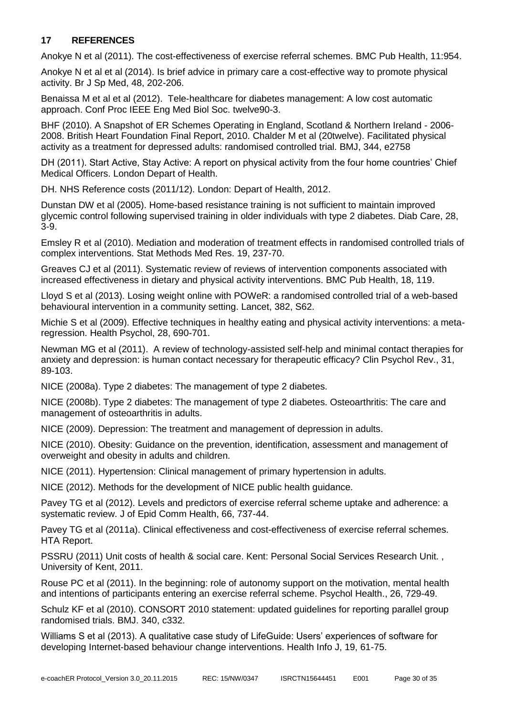# <span id="page-30-0"></span>**17 REFERENCES**

Anokye N et al (2011). The cost-effectiveness of exercise referral schemes. BMC Pub Health, 11:954.

Anokye N et al et al (2014). Is brief advice in primary care a cost-effective way to promote physical activity. Br J Sp Med, 48, 202-206.

[Benaissa M](http://www.ncbi.nlm.nih.gov/pubmed?term=Benaissa%20M%5BAuthor%5D&cauthor=true&cauthor_uid=23366135) et al et al (2012). Tele-healthcare for diabetes management: A low cost automatic approach. [Conf Proc IEEE Eng Med Biol Soc.](http://www.ncbi.nlm.nih.gov/pubmed/23366135) twelve90-3.

BHF (2010). A Snapshot of ER Schemes Operating in England, Scotland & Northern Ireland - 2006- 2008. British Heart Foundation Final Report, 2010. Chalder M et al (20twelve). Facilitated physical activity as a treatment for depressed adults: randomised controlled trial. BMJ, 344, e2758

DH (2011). Start Active, Stay Active: A report on physical activity from the four home countries' Chief Medical Officers. London Depart of Health.

DH. NHS Reference costs (2011/12). London: Depart of Health, 2012.

[Dunstan DW](http://www.ncbi.nlm.nih.gov/pubmed?term=Dunstan%20DW%5BAuthor%5D&cauthor=true&cauthor_uid=15616225) et al (2005). Home-based resistance training is not sufficient to maintain improved glycemic control following supervised training in older individuals with type 2 diabetes. Diab Care, 28, 3-9.

Emsley R et al (2010). Mediation and moderation of treatment effects in randomised controlled trials of complex interventions. Stat Methods Med Res. 19, 237-70.

[Greaves CJ](http://www.ncbi.nlm.nih.gov/pubmed?term=Greaves%20CJ%5BAuthor%5D&cauthor=true&cauthor_uid=21333011) et al (2011). Systematic review of reviews of intervention components associated with increased effectiveness in dietary and physical activity interventions. BMC Pub Health, 18, 119.

Lloyd S et al (2013). Losing weight online with POWeR: a randomised controlled trial of a web-based behavioural intervention in a community setting. Lancet, 382, S62.

Michie S et al (2009). [Effective techniques in healthy eating and physical activity interventions: a meta](http://www.ncbi.nlm.nih.gov/pubmed/19916637)[regression.](http://www.ncbi.nlm.nih.gov/pubmed/19916637) Health Psychol, 28, 690-701.

[Newman MG](http://www.ncbi.nlm.nih.gov/pubmed?term=Newman%20MG%5BAuthor%5D&cauthor=true&cauthor_uid=21095051) et al (2011). A review of technology-assisted self-help and minimal contact therapies for anxiety and depression: is human contact necessary for therapeutic efficacy? Clin Psychol Rev., 31, 89-103.

NICE (2008a). Type 2 diabetes: The management of type 2 diabetes.

NICE (2008b). Type 2 diabetes: The management of type 2 diabetes. Osteoarthritis: The care and management of osteoarthritis in adults.

NICE (2009). Depression: The treatment and management of depression in adults.

NICE (2010). Obesity: Guidance on the prevention, identification, assessment and management of overweight and obesity in adults and children.

NICE (2011). Hypertension: Clinical management of primary hypertension in adults.

NICE (2012). Methods for the development of NICE public health guidance.

Pavey TG et al (2012). Levels and predictors of exercise referral scheme uptake and adherence: a systematic review. J of Epid Comm Health, 66, 737-44.

Pavey TG et al (2011a). Clinical effectiveness and cost-effectiveness of exercise referral schemes. HTA Report.

PSSRU (2011) Unit costs of health & social care. Kent: Personal Social Services Research Unit. , University of Kent, 2011.

[Rouse PC](http://www.ncbi.nlm.nih.gov/pubmed?term=Rouse%20PC%5BAuthor%5D&cauthor=true&cauthor_uid=21827332) et al (2011). In the beginning: role of autonomy support on the motivation, mental health and intentions of participants entering an exercise referral scheme. [Psychol Health.,](http://www.ncbi.nlm.nih.gov/pubmed/21827332) 26, 729-49.

Schulz KF et al (2010). CONSORT 2010 statement: updated guidelines for reporting parallel group randomised trials. BMJ. 340, c332.

Williams S et al (2013). A qualitative case study of LifeGuide: Users' experiences of software for developing Internet-based behaviour change interventions. Health Info J, 19, 61-75.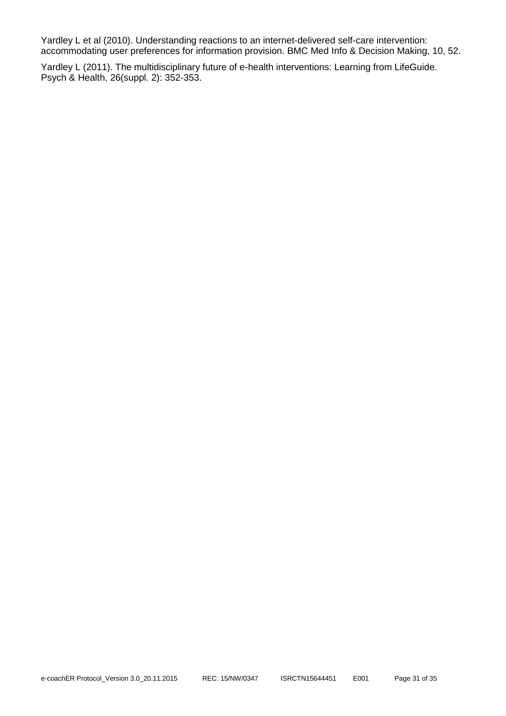Yardley L et al (2010). Understanding reactions to an internet-delivered self-care intervention: accommodating user preferences for information provision. BMC Med Info & Decision Making, 10, 52.

Yardley L (2011). The multidisciplinary future of e-health interventions: Learning from LifeGuide. Psych & Health, 26(suppl. 2): 352-353.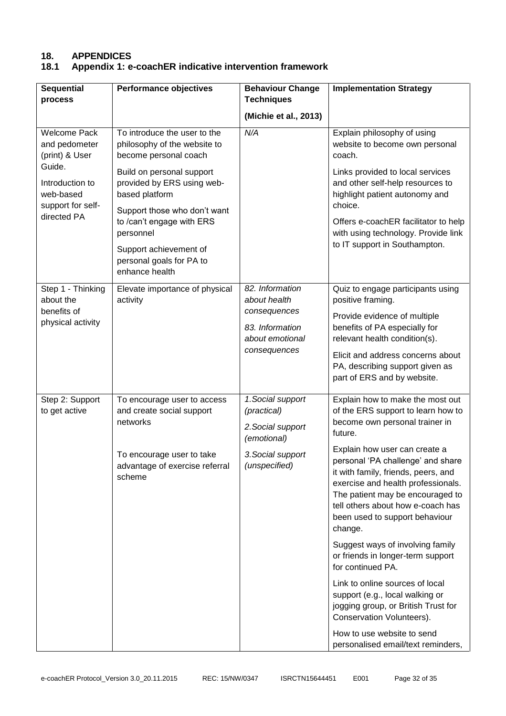# **18. APPENDICES**

# **18.1 Appendix 1: e-coachER indicative intervention framework**

| <b>Sequential</b><br>process                                       | <b>Performance objectives</b>                                                                                                                       | <b>Behaviour Change</b><br><b>Techniques</b>                                                               | <b>Implementation Strategy</b>                                                                                                                                                                                                                                                                                                                                                                                                                                                                                                                                                                                                                                                                           |
|--------------------------------------------------------------------|-----------------------------------------------------------------------------------------------------------------------------------------------------|------------------------------------------------------------------------------------------------------------|----------------------------------------------------------------------------------------------------------------------------------------------------------------------------------------------------------------------------------------------------------------------------------------------------------------------------------------------------------------------------------------------------------------------------------------------------------------------------------------------------------------------------------------------------------------------------------------------------------------------------------------------------------------------------------------------------------|
|                                                                    |                                                                                                                                                     | (Michie et al., 2013)                                                                                      |                                                                                                                                                                                                                                                                                                                                                                                                                                                                                                                                                                                                                                                                                                          |
| <b>Welcome Pack</b><br>and pedometer<br>(print) & User             | To introduce the user to the<br>philosophy of the website to<br>become personal coach                                                               | N/A                                                                                                        | Explain philosophy of using<br>website to become own personal<br>coach.                                                                                                                                                                                                                                                                                                                                                                                                                                                                                                                                                                                                                                  |
| Guide.<br>Introduction to<br>web-based                             | Build on personal support<br>provided by ERS using web-<br>based platform<br>Support those who don't want<br>to /can't engage with ERS<br>personnel |                                                                                                            | Links provided to local services<br>and other self-help resources to<br>highlight patient autonomy and                                                                                                                                                                                                                                                                                                                                                                                                                                                                                                                                                                                                   |
| support for self-<br>directed PA                                   |                                                                                                                                                     |                                                                                                            | choice.<br>Offers e-coachER facilitator to help<br>with using technology. Provide link                                                                                                                                                                                                                                                                                                                                                                                                                                                                                                                                                                                                                   |
|                                                                    | Support achievement of<br>personal goals for PA to<br>enhance health                                                                                |                                                                                                            | to IT support in Southampton.                                                                                                                                                                                                                                                                                                                                                                                                                                                                                                                                                                                                                                                                            |
| Step 1 - Thinking<br>about the<br>benefits of<br>physical activity | Elevate importance of physical<br>activity                                                                                                          | 82. Information<br>about health<br>consequences<br>83. Information<br>about emotional<br>consequences      | Quiz to engage participants using<br>positive framing.<br>Provide evidence of multiple<br>benefits of PA especially for<br>relevant health condition(s).<br>Elicit and address concerns about<br>PA, describing support given as<br>part of ERS and by website.                                                                                                                                                                                                                                                                                                                                                                                                                                          |
| Step 2: Support<br>to get active                                   | To encourage user to access<br>and create social support<br>networks<br>To encourage user to take<br>advantage of exercise referral<br>scheme       | 1. Social support<br>(practical)<br>2. Social support<br>(emotional)<br>3. Social support<br>(unspecified) | Explain how to make the most out<br>of the ERS support to learn how to<br>become own personal trainer in<br>future.<br>Explain how user can create a<br>personal 'PA challenge' and share<br>it with family, friends, peers, and<br>exercise and health professionals.<br>The patient may be encouraged to<br>tell others about how e-coach has<br>been used to support behaviour<br>change.<br>Suggest ways of involving family<br>or friends in longer-term support<br>for continued PA.<br>Link to online sources of local<br>support (e.g., local walking or<br>jogging group, or British Trust for<br>Conservation Volunteers).<br>How to use website to send<br>personalised email/text reminders, |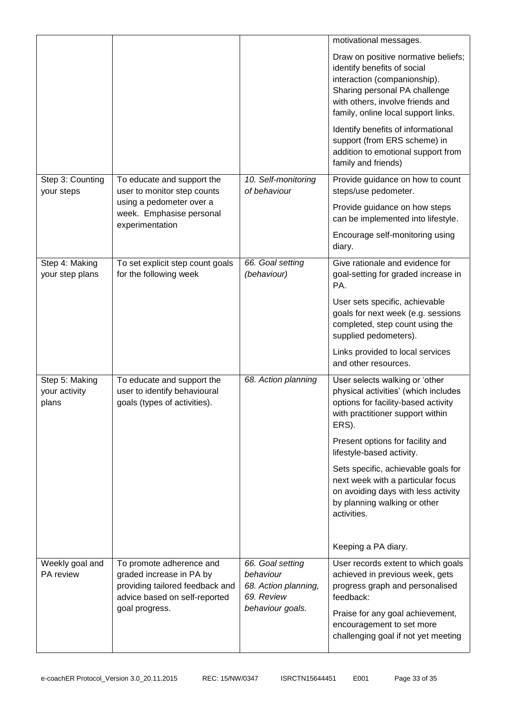|                                          |                                                                                                                                            |                                                                                         | motivational messages.                                                                                                                                                                                         |
|------------------------------------------|--------------------------------------------------------------------------------------------------------------------------------------------|-----------------------------------------------------------------------------------------|----------------------------------------------------------------------------------------------------------------------------------------------------------------------------------------------------------------|
|                                          |                                                                                                                                            |                                                                                         | Draw on positive normative beliefs;<br>identify benefits of social<br>interaction (companionship).<br>Sharing personal PA challenge<br>with others, involve friends and<br>family, online local support links. |
|                                          |                                                                                                                                            |                                                                                         | Identify benefits of informational<br>support (from ERS scheme) in<br>addition to emotional support from<br>family and friends)                                                                                |
| Step 3: Counting<br>your steps           | To educate and support the<br>user to monitor step counts                                                                                  | 10. Self-monitoring<br>of behaviour                                                     | Provide guidance on how to count<br>steps/use pedometer.                                                                                                                                                       |
|                                          | using a pedometer over a<br>week. Emphasise personal<br>experimentation                                                                    |                                                                                         | Provide guidance on how steps<br>can be implemented into lifestyle.                                                                                                                                            |
|                                          |                                                                                                                                            |                                                                                         | Encourage self-monitoring using<br>diary.                                                                                                                                                                      |
| Step 4: Making<br>your step plans        | To set explicit step count goals<br>for the following week                                                                                 | 66. Goal setting<br>(behaviour)                                                         | Give rationale and evidence for<br>goal-setting for graded increase in<br>PA.                                                                                                                                  |
|                                          |                                                                                                                                            |                                                                                         | User sets specific, achievable<br>goals for next week (e.g. sessions<br>completed, step count using the<br>supplied pedometers).                                                                               |
|                                          |                                                                                                                                            |                                                                                         | Links provided to local services<br>and other resources.                                                                                                                                                       |
| Step 5: Making<br>your activity<br>plans | To educate and support the<br>user to identify behavioural<br>goals (types of activities).                                                 | 68. Action planning                                                                     | User selects walking or 'other<br>physical activities' (which includes<br>options for facility-based activity<br>with practitioner support within<br>ERS).                                                     |
|                                          |                                                                                                                                            |                                                                                         | Present options for facility and<br>lifestyle-based activity.                                                                                                                                                  |
|                                          |                                                                                                                                            |                                                                                         | Sets specific, achievable goals for<br>next week with a particular focus<br>on avoiding days with less activity<br>by planning walking or other<br>activities.                                                 |
|                                          |                                                                                                                                            |                                                                                         | Keeping a PA diary.                                                                                                                                                                                            |
| Weekly goal and<br>PA review             | To promote adherence and<br>graded increase in PA by<br>providing tailored feedback and<br>advice based on self-reported<br>goal progress. | 66. Goal setting<br>behaviour<br>68. Action planning,<br>69. Review<br>behaviour goals. | User records extent to which goals<br>achieved in previous week, gets<br>progress graph and personalised<br>feedback:                                                                                          |
|                                          |                                                                                                                                            |                                                                                         | Praise for any goal achievement,<br>encouragement to set more<br>challenging goal if not yet meeting                                                                                                           |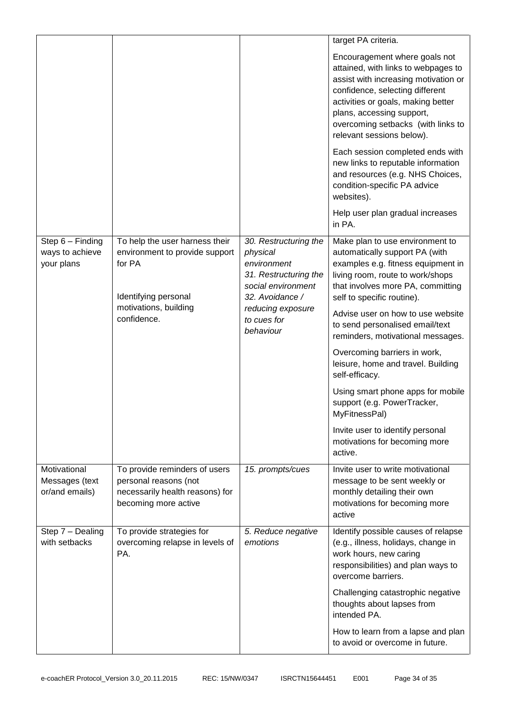|                                                     |                                                                                                                                            |                                                                                                                                                                     | target PA criteria.                                                                                                                                                                                                                                                                   |
|-----------------------------------------------------|--------------------------------------------------------------------------------------------------------------------------------------------|---------------------------------------------------------------------------------------------------------------------------------------------------------------------|---------------------------------------------------------------------------------------------------------------------------------------------------------------------------------------------------------------------------------------------------------------------------------------|
|                                                     |                                                                                                                                            |                                                                                                                                                                     | Encouragement where goals not<br>attained, with links to webpages to<br>assist with increasing motivation or<br>confidence, selecting different<br>activities or goals, making better<br>plans, accessing support,<br>overcoming setbacks (with links to<br>relevant sessions below). |
|                                                     |                                                                                                                                            |                                                                                                                                                                     | Each session completed ends with<br>new links to reputable information<br>and resources (e.g. NHS Choices,<br>condition-specific PA advice<br>websites).                                                                                                                              |
|                                                     |                                                                                                                                            |                                                                                                                                                                     | Help user plan gradual increases<br>in PA.                                                                                                                                                                                                                                            |
| Step $6$ – Finding<br>ways to achieve<br>your plans | To help the user harness their<br>environment to provide support<br>for PA<br>Identifying personal<br>motivations, building<br>confidence. | 30. Restructuring the<br>physical<br>environment<br>31. Restructuring the<br>social environment<br>32. Avoidance /<br>reducing exposure<br>to cues for<br>behaviour | Make plan to use environment to<br>automatically support PA (with<br>examples e.g. fitness equipment in<br>living room, route to work/shops<br>that involves more PA, committing<br>self to specific routine).<br>Advise user on how to use website                                   |
|                                                     |                                                                                                                                            |                                                                                                                                                                     | to send personalised email/text<br>reminders, motivational messages.                                                                                                                                                                                                                  |
|                                                     |                                                                                                                                            |                                                                                                                                                                     | Overcoming barriers in work,<br>leisure, home and travel. Building<br>self-efficacy.                                                                                                                                                                                                  |
|                                                     |                                                                                                                                            |                                                                                                                                                                     | Using smart phone apps for mobile<br>support (e.g. PowerTracker,<br>MyFitnessPal)                                                                                                                                                                                                     |
|                                                     |                                                                                                                                            |                                                                                                                                                                     | Invite user to identify personal<br>motivations for becoming more<br>active.                                                                                                                                                                                                          |
| Motivational<br>Messages (text<br>or/and emails)    | To provide reminders of users<br>personal reasons (not<br>necessarily health reasons) for<br>becoming more active                          | 15. prompts/cues                                                                                                                                                    | Invite user to write motivational<br>message to be sent weekly or<br>monthly detailing their own<br>motivations for becoming more<br>active                                                                                                                                           |
| Step 7 - Dealing<br>with setbacks                   | To provide strategies for<br>overcoming relapse in levels of<br>PA.                                                                        | 5. Reduce negative<br>emotions                                                                                                                                      | Identify possible causes of relapse<br>(e.g., illness, holidays, change in<br>work hours, new caring<br>responsibilities) and plan ways to<br>overcome barriers.                                                                                                                      |
|                                                     |                                                                                                                                            |                                                                                                                                                                     | Challenging catastrophic negative<br>thoughts about lapses from<br>intended PA.                                                                                                                                                                                                       |
|                                                     |                                                                                                                                            |                                                                                                                                                                     | How to learn from a lapse and plan<br>to avoid or overcome in future.                                                                                                                                                                                                                 |